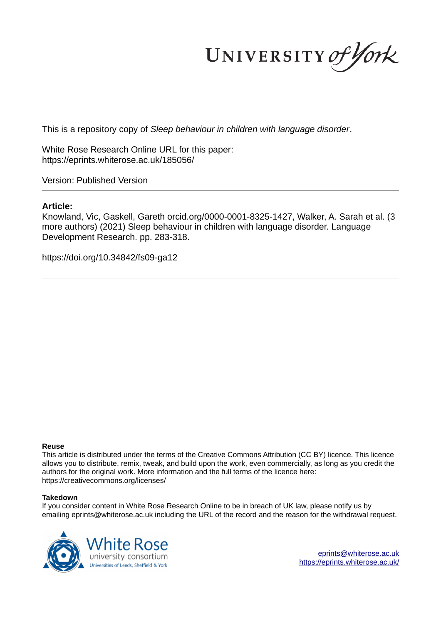UNIVERSITY of York

This is a repository copy of *Sleep behaviour in children with language disorder*.

White Rose Research Online URL for this paper: https://eprints.whiterose.ac.uk/185056/

Version: Published Version

#### **Article:**

Knowland, Vic, Gaskell, Gareth orcid.org/0000-0001-8325-1427, Walker, A. Sarah et al. (3 more authors) (2021) Sleep behaviour in children with language disorder. Language Development Research. pp. 283-318.

https://doi.org/10.34842/fs09-ga12

#### **Reuse**

This article is distributed under the terms of the Creative Commons Attribution (CC BY) licence. This licence allows you to distribute, remix, tweak, and build upon the work, even commercially, as long as you credit the authors for the original work. More information and the full terms of the licence here: https://creativecommons.org/licenses/

#### **Takedown**

If you consider content in White Rose Research Online to be in breach of UK law, please notify us by emailing eprints@whiterose.ac.uk including the URL of the record and the reason for the withdrawal request.



eprints@whiterose.ac.uk https://eprints.whiterose.ac.uk/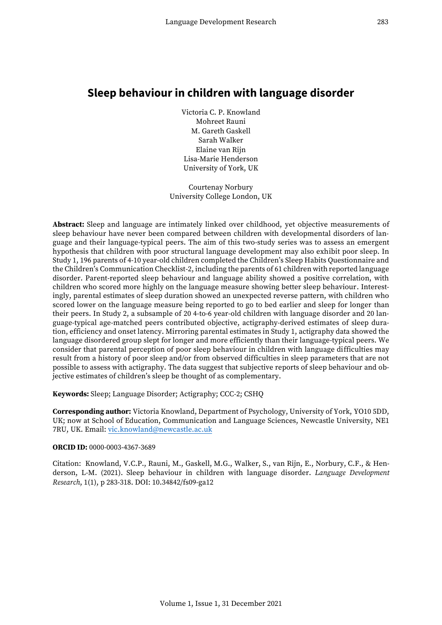# **Sleep behaviour in children with language disorder**

Victoria C. P. Knowland Mohreet Rauni M. Gareth Gaskell Sarah Walker Elaine van Rijn Lisa-Marie Henderson University of York, UK

Courtenay Norbury University College London, UK

**Abstract:** Sleep and language are intimately linked over childhood, yet objective measurements of sleep behaviour have never been compared between children with developmental disorders of language and their language-typical peers. The aim of this two-study series was to assess an emergent hypothesis that children with poor structural language development may also exhibit poor sleep. In Study 1, 196 parents of 4-10 year-old children completed the Children's Sleep Habits Questionnaire and the Children's Communication Checklist-2, including the parents of 61 children with reported language disorder. Parent-reported sleep behaviour and language ability showed a positive correlation, with children who scored more highly on the language measure showing better sleep behaviour. Interestingly, parental estimates of sleep duration showed an unexpected reverse pattern, with children who scored lower on the language measure being reported to go to bed earlier and sleep for longer than their peers. In Study 2, a subsample of 20 4-to-6 year-old children with language disorder and 20 language-typical age-matched peers contributed objective, actigraphy-derived estimates of sleep duration, efficiency and onset latency. Mirroring parental estimates in Study 1, actigraphy data showed the language disordered group slept for longer and more efficiently than their language-typical peers. We consider that parental perception of poor sleep behaviour in children with language difficulties may result from a history of poor sleep and/or from observed difficulties in sleep parameters that are not possible to assess with actigraphy. The data suggest that subjective reports of sleep behaviour and objective estimates of children's sleep be thought of as complementary.

**Keywords:** Sleep; Language Disorder; Actigraphy; CCC-2; CSHQ

**Corresponding author:** Victoria Knowland, Department of Psychology, University of York, YO10 5DD, UK; now at School of Education, Communication and Language Sciences, Newcastle University, NE1 7RU, UK. Email[: vic.knowland@newcastle.ac.uk](mailto:vic.knowland@newcastle.ac.uk)

#### **ORCID ID:** 0000-0003-4367-3689

Citation: Knowland, V.C.P., Rauni, M., Gaskell, M.G., Walker, S., van Rijn, E., Norbury, C.F., & Henderson, L-M. (2021). Sleep behaviour in children with language disorder. *Language Development Research*, 1(1), p 283-318. DOI: 10.34842/fs09-ga12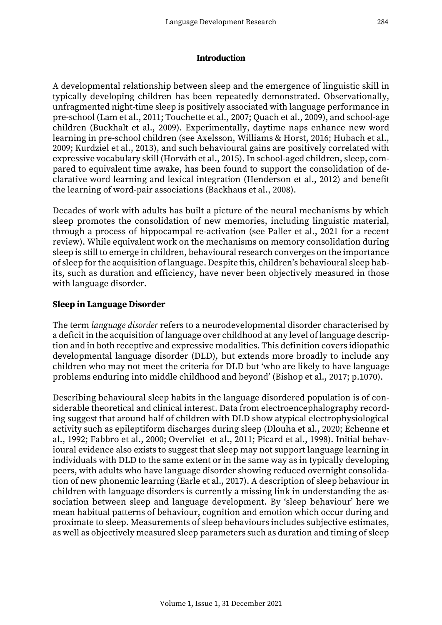#### **Introduction**

A developmental relationship between sleep and the emergence of linguistic skill in typically developing children has been repeatedly demonstrated. Observationally, unfragmented night-time sleep is positively associated with language performance in pre-school (Lam et al., 2011; Touchette et al., 2007; Quach et al., 2009), and school-age children (Buckhalt et al., 2009). Experimentally, daytime naps enhance new word learning in pre-school children (see Axelsson, Williams & Horst, 2016; Hubach et al., 2009; Kurdziel et al., 2013), and such behavioural gains are positively correlated with expressive vocabulary skill (Horváth et al., 2015). In school-aged children, sleep, compared to equivalent time awake, has been found to support the consolidation of declarative word learning and lexical integration (Henderson et al., 2012) and benefit the learning of word-pair associations (Backhaus et al., 2008).

Decades of work with adults has built a picture of the neural mechanisms by which sleep promotes the consolidation of new memories, including linguistic material, through a process of hippocampal re-activation (see Paller et al., 2021 for a recent review). While equivalent work on the mechanisms on memory consolidation during sleep is still to emerge in children, behavioural research converges on the importance of sleep for the acquisition of language. Despite this, children's behavioural sleep habits, such as duration and efficiency, have never been objectively measured in those with language disorder.

### **Sleep in Language Disorder**

The term *language disorder* refers to a neurodevelopmental disorder characterised by a deficit in the acquisition of language over childhood at any level of language description and in both receptive and expressive modalities. This definition covers idiopathic developmental language disorder (DLD), but extends more broadly to include any children who may not meet the criteria for DLD but 'who are likely to have language problems enduring into middle childhood and beyond' (Bishop et al., 2017; p.1070).

Describing behavioural sleep habits in the language disordered population is of considerable theoretical and clinical interest. Data from electroencephalography recording suggest that around half of children with DLD show atypical electrophysiological activity such as epileptiform discharges during sleep (Dlouha et al., 2020; Echenne et al., 1992; Fabbro et al., 2000; Overvliet et al., 2011; Picard et al., 1998). Initial behavioural evidence also exists to suggest that sleep may not support language learning in individuals with DLD to the same extent or in the same way as in typically developing peers, with adults who have language disorder showing reduced overnight consolidation of new phonemic learning (Earle et al., 2017). A description of sleep behaviour in children with language disorders is currently a missing link in understanding the association between sleep and language development. By 'sleep behaviour' here we mean habitual patterns of behaviour, cognition and emotion which occur during and proximate to sleep. Measurements of sleep behaviours includes subjective estimates, as well as objectively measured sleep parameters such as duration and timing of sleep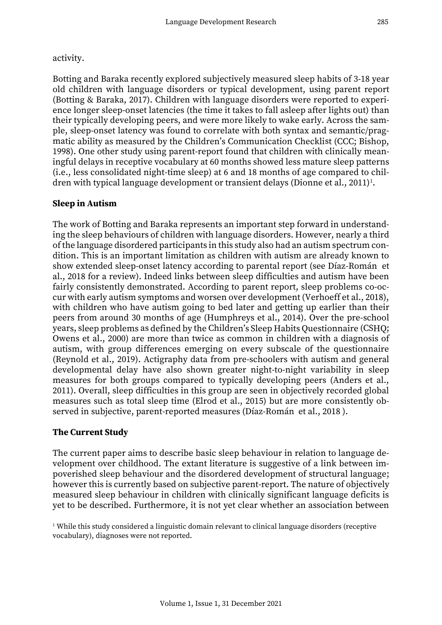### activity.

Botting and Baraka recently explored subjectively measured sleep habits of 3-18 year old children with language disorders or typical development, using parent report (Botting & Baraka, 2017). Children with language disorders were reported to experience longer sleep-onset latencies (the time it takes to fall asleep after lights out) than their typically developing peers, and were more likely to wake early. Across the sample, sleep-onset latency was found to correlate with both syntax and semantic/pragmatic ability as measured by the Children's Communication Checklist (CCC; Bishop, 1998). One other study using parent-report found that children with clinically meaningful delays in receptive vocabulary at 60 months showed less mature sleep patterns (i.e., less consolidated night-time sleep) at 6 and 18 months of age compared to children with typical language development or transient delays (Dionne et al., 2011)<sup>1</sup>.

## **Sleep in Autism**

The work of Botting and Baraka represents an important step forward in understanding the sleep behaviours of children with language disorders. However, nearly a third of the language disordered participants in this study also had an autism spectrum condition. This is an important limitation as children with autism are already known to show extended sleep-onset latency according to parental report (see Díaz-Román et al., 2018 for a review). Indeed links between sleep difficulties and autism have been fairly consistently demonstrated. According to parent report, sleep problems co-occur with early autism symptoms and worsen over development (Verhoeff et al., 2018), with children who have autism going to bed later and getting up earlier than their peers from around 30 months of age (Humphreys et al., 2014). Over the pre-school years, sleep problems as defined by the Children's Sleep Habits Questionnaire (CSHQ; Owens et al., 2000) are more than twice as common in children with a diagnosis of autism, with group differences emerging on every subscale of the questionnaire (Reynold et al., 2019). Actigraphy data from pre-schoolers with autism and general developmental delay have also shown greater night-to-night variability in sleep measures for both groups compared to typically developing peers (Anders et al., 2011). Overall, sleep difficulties in this group are seen in objectively recorded global measures such as total sleep time (Elrod et al., 2015) but are more consistently observed in subjective, parent-reported measures (Díaz-Román et al., 2018 ).

## **The Current Study**

The current paper aims to describe basic sleep behaviour in relation to language development over childhood. The extant literature is suggestive of a link between impoverished sleep behaviour and the disordered development of structural language; however this is currently based on subjective parent-report. The nature of objectively measured sleep behaviour in children with clinically significant language deficits is yet to be described. Furthermore, it is not yet clear whether an association between

 $^{\rm 1}$  While this study considered a linguistic domain relevant to clinical language disorders (receptive vocabulary), diagnoses were not reported.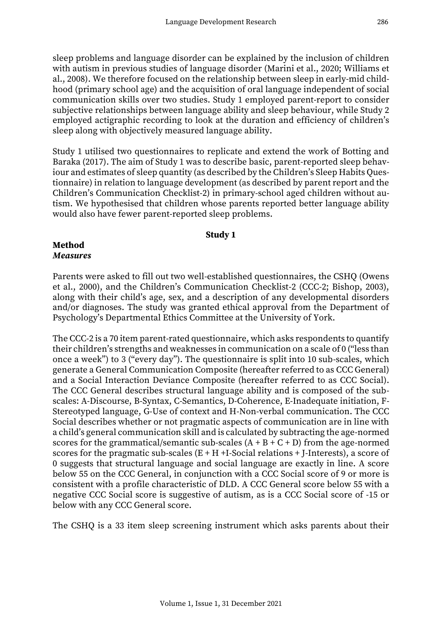sleep problems and language disorder can be explained by the inclusion of children with autism in previous studies of language disorder (Marini et al., 2020; Williams et al., 2008). We therefore focused on the relationship between sleep in early-mid childhood (primary school age) and the acquisition of oral language independent of social communication skills over two studies. Study 1 employed parent-report to consider subjective relationships between language ability and sleep behaviour, while Study 2 employed actigraphic recording to look at the duration and efficiency of children's sleep along with objectively measured language ability.

Study 1 utilised two questionnaires to replicate and extend the work of Botting and Baraka (2017). The aim of Study 1 was to describe basic, parent-reported sleep behaviour and estimates of sleep quantity (as described by the Children's Sleep Habits Questionnaire) in relation to language development (as described by parent report and the Children's Communication Checklist-2) in primary-school aged children without autism. We hypothesised that children whose parents reported better language ability would also have fewer parent-reported sleep problems.

#### **Study 1**

#### **Method** *Measures*

Parents were asked to fill out two well-established questionnaires, the CSHQ (Owens et al., 2000), and the Children's Communication Checklist-2 (CCC-2; Bishop, 2003), along with their child's age, sex, and a description of any developmental disorders and/or diagnoses. The study was granted ethical approval from the Department of Psychology's Departmental Ethics Committee at the University of York.

The CCC-2 is a 70 item parent-rated questionnaire, which asks respondents to quantify their children's strengths and weaknesses in communication on a scale of 0 ("less than once a week") to 3 ("every day"). The questionnaire is split into 10 sub-scales, which generate a General Communication Composite (hereafter referred to as CCC General) and a Social Interaction Deviance Composite (hereafter referred to as CCC Social). The CCC General describes structural language ability and is composed of the subscales: A-Discourse, B-Syntax, C-Semantics, D-Coherence, E-Inadequate initiation, F-Stereotyped language, G-Use of context and H-Non-verbal communication. The CCC Social describes whether or not pragmatic aspects of communication are in line with a child's general communication skill and is calculated by subtracting the age-normed scores for the grammatical/semantic sub-scales  $(A + B + C + D)$  from the age-normed scores for the pragmatic sub-scales  $(E + H + I-Social$  relations  $+ I$ -Interests), a score of 0 suggests that structural language and social language are exactly in line. A score below 55 on the CCC General, in conjunction with a CCC Social score of 9 or more is consistent with a profile characteristic of DLD. A CCC General score below 55 with a negative CCC Social score is suggestive of autism, as is a CCC Social score of -15 or below with any CCC General score.

The CSHQ is a 33 item sleep screening instrument which asks parents about their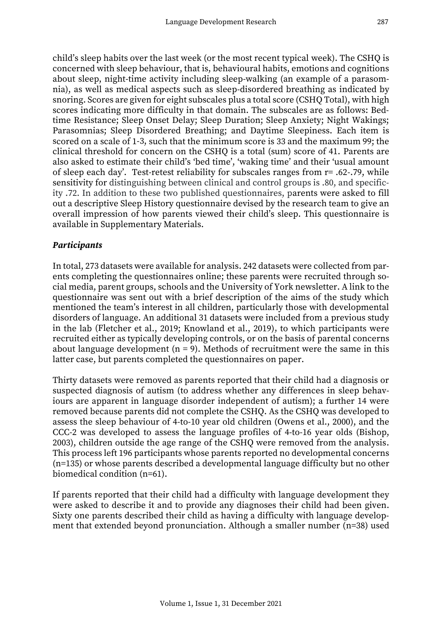child's sleep habits over the last week (or the most recent typical week). The CSHQ is concerned with sleep behaviour, that is, behavioural habits, emotions and cognitions about sleep, night-time activity including sleep-walking (an example of a parasomnia), as well as medical aspects such as sleep-disordered breathing as indicated by snoring. Scores are given for eight subscales plus a total score (CSHQ Total), with high scores indicating more difficulty in that domain. The subscales are as follows: Bedtime Resistance; Sleep Onset Delay; Sleep Duration; Sleep Anxiety; Night Wakings; Parasomnias; Sleep Disordered Breathing; and Daytime Sleepiness. Each item is scored on a scale of 1-3, such that the minimum score is 33 and the maximum 99; the clinical threshold for concern on the CSHQ is a total (sum) score of 41. Parents are also asked to estimate their child's 'bed time', 'waking time' and their 'usual amount of sleep each day'. Test-retest reliability for subscales ranges from r= .62-.79, while sensitivity for distinguishing between clinical and control groups is .80, and specificity .72. In addition to these two published questionnaires, parents were asked to fill out a descriptive Sleep History questionnaire devised by the research team to give an overall impression of how parents viewed their child's sleep. This questionnaire is available in Supplementary Materials.

### *Participants*

In total, 273 datasets were available for analysis. 242 datasets were collected from parents completing the questionnaires online; these parents were recruited through social media, parent groups, schools and the University of York newsletter. A link to the questionnaire was sent out with a brief description of the aims of the study which mentioned the team's interest in all children, particularly those with developmental disorders of language. An additional 31 datasets were included from a previous study in the lab (Fletcher et al., 2019; Knowland et al., 2019), to which participants were recruited either as typically developing controls, or on the basis of parental concerns about language development ( $n = 9$ ). Methods of recruitment were the same in this latter case, but parents completed the questionnaires on paper.

Thirty datasets were removed as parents reported that their child had a diagnosis or suspected diagnosis of autism (to address whether any differences in sleep behaviours are apparent in language disorder independent of autism); a further 14 were removed because parents did not complete the CSHQ. As the CSHQ was developed to assess the sleep behaviour of 4-to-10 year old children (Owens et al., 2000), and the CCC-2 was developed to assess the language profiles of 4-to-16 year olds (Bishop, 2003), children outside the age range of the CSHQ were removed from the analysis. This process left 196 participants whose parents reported no developmental concerns (n=135) or whose parents described a developmental language difficulty but no other biomedical condition (n=61).

If parents reported that their child had a difficulty with language development they were asked to describe it and to provide any diagnoses their child had been given. Sixty one parents described their child as having a difficulty with language development that extended beyond pronunciation. Although a smaller number (n=38) used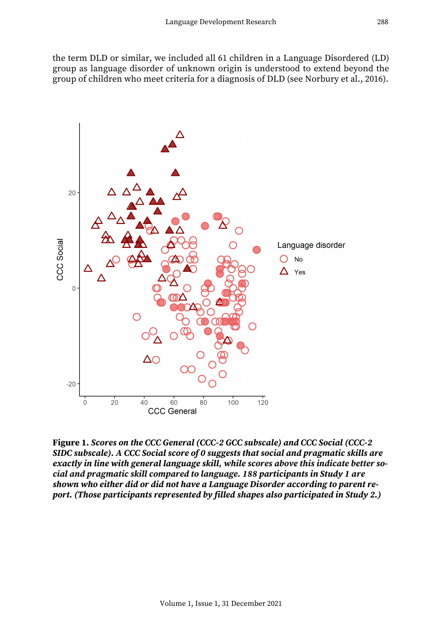the term DLD or similar, we included all 61 children in a Language Disordered (LD) group as language disorder of unknown origin is understood to extend beyond the group of children who meet criteria for a diagnosis of DLD (see Norbury et al., 2016).



**Figure 1.** *Scores on the CCC General (CCC-2 GCC subscale) and CCC Social (CCC-2 SIDC subscale). A CCC Social score of 0 suggests that social and pragmatic skills are exactly in line with general language skill, while scores above this indicate better social and pragmatic skill compared to language. 188 participants in Study 1 are shown who either did or did not have a Language Disorder according to parent report. (Those participants represented by filled shapes also participated in Study 2.)*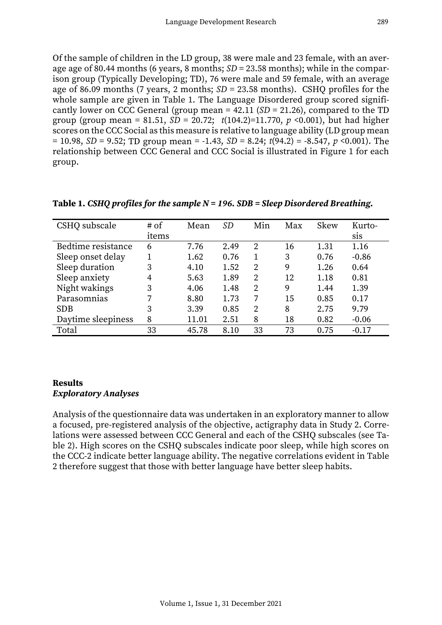Of the sample of children in the LD group, 38 were male and 23 female, with an average age of 80.44 months (6 years, 8 months; *SD* = 23.58 months); while in the comparison group (Typically Developing; TD), 76 were male and 59 female, with an average age of 86.09 months (7 years, 2 months; *SD* = 23.58 months). CSHQ profiles for the whole sample are given in Table 1. The Language Disordered group scored significantly lower on CCC General (group mean = 42.11 (*SD* = 21.26), compared to the TD group (group mean = 81.51,  $SD = 20.72$ ;  $t(104.2)=11.770$ ,  $p < 0.001$ ), but had higher scores on the CCC Social as this measure is relative to language ability (LD group mean = 10.98, *SD* = 9.52; TD group mean = -1.43, *SD* = 8.24; *t*(94.2) = -8.547, *p* <0.001). The relationship between CCC General and CCC Social is illustrated in Figure 1 for each group.

| CSHQ subscale      | # of  | Mean  | <i>SD</i> | Min | Max | <b>Skew</b> | Kurto-  |
|--------------------|-------|-------|-----------|-----|-----|-------------|---------|
|                    | items |       |           |     |     |             | sis     |
| Bedtime resistance | 6     | 7.76  | 2.49      | 2   | 16  | 1.31        | 1.16    |
| Sleep onset delay  |       | 1.62  | 0.76      |     | 3   | 0.76        | $-0.86$ |
| Sleep duration     | 3     | 4.10  | 1.52      | 2   | 9   | 1.26        | 0.64    |
| Sleep anxiety      | 4     | 5.63  | 1.89      | 2   | 12  | 1.18        | 0.81    |
| Night wakings      | 3     | 4.06  | 1.48      | 2   | 9   | 1.44        | 1.39    |
| Parasomnias        |       | 8.80  | 1.73      | 7   | 15  | 0.85        | 0.17    |
| <b>SDB</b>         | 3     | 3.39  | 0.85      | 2   | 8   | 2.75        | 9.79    |
| Daytime sleepiness | 8     | 11.01 | 2.51      | 8   | 18  | 0.82        | $-0.06$ |
| Total              | 33    | 45.78 | 8.10      | 33  | 73  | 0.75        | $-0.17$ |

**Table 1.** *CSHQ profiles for the sample N = 196. SDB = Sleep Disordered Breathing.*

## **Results** *Exploratory Analyses*

Analysis of the questionnaire data was undertaken in an exploratory manner to allow a focused, pre-registered analysis of the objective, actigraphy data in Study 2. Correlations were assessed between CCC General and each of the CSHQ subscales (see Table 2). High scores on the CSHQ subscales indicate poor sleep, while high scores on the CCC-2 indicate better language ability. The negative correlations evident in Table 2 therefore suggest that those with better language have better sleep habits.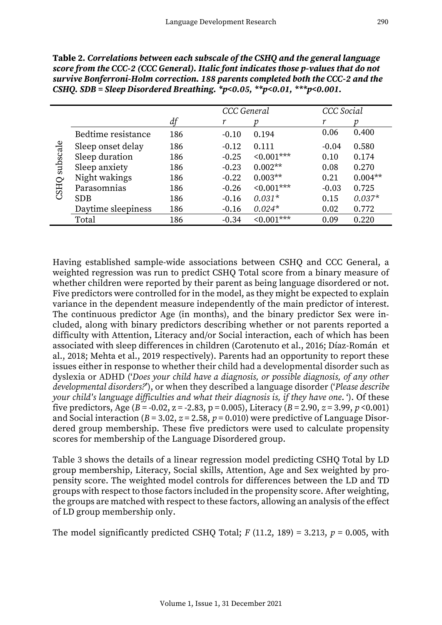|                         |                    |     | CCC General |            | CCC Social |           |
|-------------------------|--------------------|-----|-------------|------------|------------|-----------|
|                         |                    | df  |             |            | r          |           |
| subscale<br><b>CSHQ</b> | Bedtime resistance | 186 | $-0.10$     | 0.194      | 0.06       | 0.400     |
|                         | Sleep onset delay  | 186 | $-0.12$     | 0.111      | $-0.04$    | 0.580     |
|                         | Sleep duration     | 186 | $-0.25$     | $0.001***$ | 0.10       | 0.174     |
|                         | Sleep anxiety      | 186 | $-0.23$     | $0.002**$  | 0.08       | 0.270     |
|                         | Night wakings      | 186 | $-0.22$     | $0.003**$  | 0.21       | $0.004**$ |
|                         | Parasomnias        | 186 | $-0.26$     | $0.001***$ | $-0.03$    | 0.725     |
|                         | <b>SDB</b>         | 186 | $-0.16$     | $0.031*$   | 0.15       | $0.037*$  |
|                         | Daytime sleepiness | 186 | $-0.16$     | $0.024*$   | 0.02       | 0.772     |
|                         | Total              | 186 | $-0.34$     | $0.001***$ | 0.09       | 0.220     |

**Table 2.** *Correlations between each subscale of the CSHQ and the general language score from the CCC-2 (CCC General). Italic font indicates those p-values that do not survive Bonferroni-Holm correction. 188 parents completed both the CCC-2 and the CSHQ. SDB = Sleep Disordered Breathing. \*p<0.05, \*\*p<0.01, \*\*\*p<0.001.*

Having established sample-wide associations between CSHQ and CCC General, a weighted regression was run to predict CSHQ Total score from a binary measure of whether children were reported by their parent as being language disordered or not. Five predictors were controlled for in the model, as they might be expected to explain variance in the dependent measure independently of the main predictor of interest. The continuous predictor Age (in months), and the binary predictor Sex were included, along with binary predictors describing whether or not parents reported a difficulty with Attention, Literacy and/or Social interaction, each of which has been associated with sleep differences in children (Carotenuto et al., 2016; Díaz-Román et al., 2018; Mehta et al., 2019 respectively). Parents had an opportunity to report these issues either in response to whether their child had a developmental disorder such as dyslexia or ADHD ('*Does your child have a diagnosis, or possible diagnosis, of any other developmental disorders?*'), or when they described a language disorder ('*Please describe your child's language difficulties and what their diagnosis is, if they have one*. '). Of these five predictors, Age ( $B = -0.02$ ,  $z = -2.83$ ,  $p = 0.005$ ), Literacy ( $B = 2.90$ ,  $z = 3.99$ ,  $p < 0.001$ ) and Social interaction ( $B = 3.02$ ,  $z = 2.58$ ,  $p = 0.010$ ) were predictive of Language Disordered group membership. These five predictors were used to calculate propensity scores for membership of the Language Disordered group.

Table 3 shows the details of a linear regression model predicting CSHQ Total by LD group membership, Literacy, Social skills, Attention, Age and Sex weighted by propensity score. The weighted model controls for differences between the LD and TD groups with respect to those factors included in the propensity score. After weighting, the groups are matched with respect to these factors, allowing an analysis of the effect of LD group membership only.

The model significantly predicted CSHQ Total;  $F(11.2, 189) = 3.213$ ,  $p = 0.005$ , with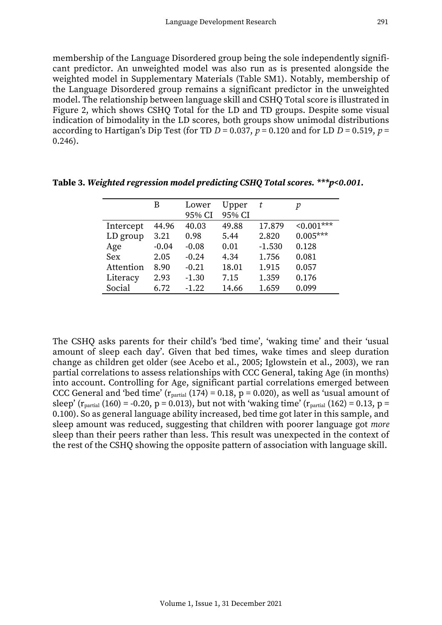membership of the Language Disordered group being the sole independently significant predictor. An unweighted model was also run as is presented alongside the weighted model in Supplementary Materials (Table SM1). Notably, membership of the Language Disordered group remains a significant predictor in the unweighted model. The relationship between language skill and CSHQ Total score is illustrated in Figure 2, which shows CSHQ Total for the LD and TD groups. Despite some visual indication of bimodality in the LD scores, both groups show unimodal distributions according to Hartigan's Dip Test (for TD  $D = 0.037$ ,  $p = 0.120$  and for LD  $D = 0.519$ ,  $p =$ 0.246).

|           | В       | Lower   | Upper  | t        | р          |
|-----------|---------|---------|--------|----------|------------|
|           |         | 95% CI  | 95% CI |          |            |
| Intercept | 44.96   | 40.03   | 49.88  | 17.879   | $0.001***$ |
| LD group  | 3.21    | 0.98    | 5.44   | 2.820    | $0.005***$ |
| Age       | $-0.04$ | $-0.08$ | 0.01   | $-1.530$ | 0.128      |
| Sex       | 2.05    | $-0.24$ | 4.34   | 1.756    | 0.081      |
| Attention | 8.90    | $-0.21$ | 18.01  | 1.915    | 0.057      |
| Literacy  | 2.93    | $-1.30$ | 7.15   | 1.359    | 0.176      |
| Social    | 6.72    | $-1.22$ | 14.66  | 1.659    | 0.099      |

**Table 3.** *Weighted regression model predicting CSHQ Total scores. \*\*\*p<0.001.*

The CSHQ asks parents for their child's 'bed time', 'waking time' and their 'usual amount of sleep each day'. Given that bed times, wake times and sleep duration change as children get older (see Acebo et al., 2005; Iglowstein et al., 2003), we ran partial correlations to assess relationships with CCC General, taking Age (in months) into account. Controlling for Age, significant partial correlations emerged between CCC General and 'bed time' ( $r_{\text{partial}}$  (174) = 0.18, p = 0.020), as well as 'usual amount of sleep' ( $r_{\text{partial}}$  (160) = -0.20, p = 0.013), but not with 'waking time' ( $r_{\text{partial}}$  (162) = 0.13, p = 0.100). So as general language ability increased, bed time got later in this sample, and sleep amount was reduced, suggesting that children with poorer language got *more* sleep than their peers rather than less. This result was unexpected in the context of the rest of the CSHQ showing the opposite pattern of association with language skill.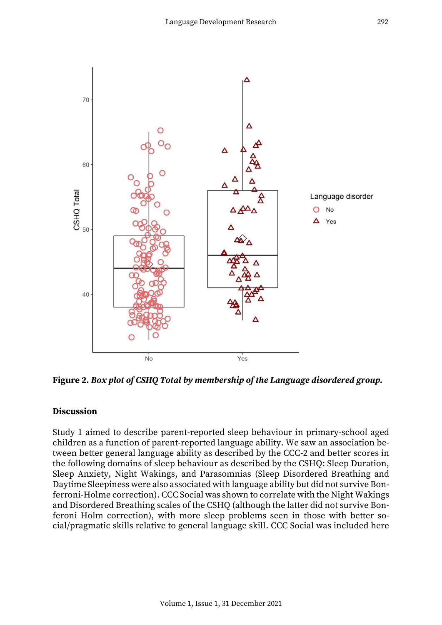

**Figure 2.** *Box plot of CSHQ Total by membership of the Language disordered group.* 

#### **Discussion**

Study 1 aimed to describe parent-reported sleep behaviour in primary-school aged children as a function of parent-reported language ability. We saw an association between better general language ability as described by the CCC-2 and better scores in the following domains of sleep behaviour as described by the CSHQ: Sleep Duration, Sleep Anxiety, Night Wakings, and Parasomnias (Sleep Disordered Breathing and Daytime Sleepiness were also associated with language ability but did not survive Bonferroni-Holme correction). CCC Social was shown to correlate with the Night Wakings and Disordered Breathing scales of the CSHQ (although the latter did not survive Bonferoni Holm correction), with more sleep problems seen in those with better social/pragmatic skills relative to general language skill. CCC Social was included here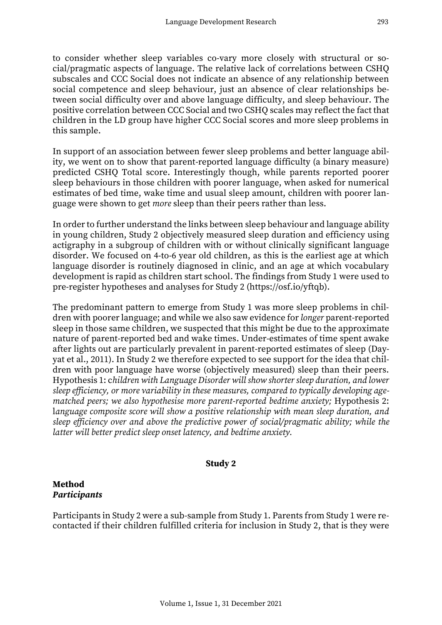to consider whether sleep variables co-vary more closely with structural or social/pragmatic aspects of language. The relative lack of correlations between CSHQ subscales and CCC Social does not indicate an absence of any relationship between social competence and sleep behaviour, just an absence of clear relationships between social difficulty over and above language difficulty, and sleep behaviour. The positive correlation between CCC Social and two CSHQ scales may reflect the fact that children in the LD group have higher CCC Social scores and more sleep problems in this sample.

In support of an association between fewer sleep problems and better language ability, we went on to show that parent-reported language difficulty (a binary measure) predicted CSHQ Total score. Interestingly though, while parents reported poorer sleep behaviours in those children with poorer language, when asked for numerical estimates of bed time, wake time and usual sleep amount, children with poorer language were shown to get *more* sleep than their peers rather than less.

In order to further understand the links between sleep behaviour and language ability in young children, Study 2 objectively measured sleep duration and efficiency using actigraphy in a subgroup of children with or without clinically significant language disorder. We focused on 4-to-6 year old children, as this is the earliest age at which language disorder is routinely diagnosed in clinic, and an age at which vocabulary development is rapid as children start school. The findings from Study 1 were used to pre-register hypotheses and analyses for Study 2 (https://osf.io/yftqb).

The predominant pattern to emerge from Study 1 was more sleep problems in children with poorer language; and while we also saw evidence for *longer* parent-reported sleep in those same children, we suspected that this might be due to the approximate nature of parent-reported bed and wake times. Under-estimates of time spent awake after lights out are particularly prevalent in parent-reported estimates of sleep (Dayyat et al., 2011). In Study 2 we therefore expected to see support for the idea that children with poor language have worse (objectively measured) sleep than their peers. Hypothesis 1: c*hildren with Language Disorder will show shorter sleep duration, and lower sleep efficiency, or more variability in these measures, compared to typically developing agematched peers; we also hypothesise more parent-reported bedtime anxiety; Hypothesis 2:* l*anguage composite score will show a positive relationship with mean sleep duration, and sleep efficiency over and above the predictive power of social/pragmatic ability; while the latter will better predict sleep onset latency, and bedtime anxiety.*

### **Study 2**

## **Method** *Participants*

Participants in Study 2 were a sub-sample from Study 1. Parents from Study 1 were recontacted if their children fulfilled criteria for inclusion in Study 2, that is they were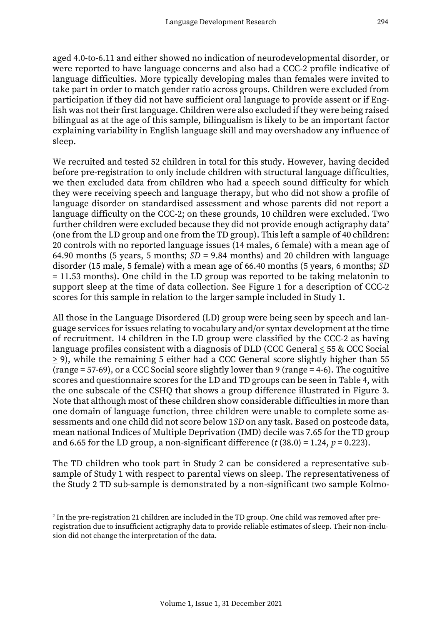aged 4.0-to-6.11 and either showed no indication of neurodevelopmental disorder, or were reported to have language concerns and also had a CCC-2 profile indicative of language difficulties. More typically developing males than females were invited to take part in order to match gender ratio across groups. Children were excluded from participation if they did not have sufficient oral language to provide assent or if English was not their first language. Children were also excluded if they were being raised bilingual as at the age of this sample, bilingualism is likely to be an important factor explaining variability in English language skill and may overshadow any influence of

sleep.

We recruited and tested 52 children in total for this study. However, having decided before pre-registration to only include children with structural language difficulties, we then excluded data from children who had a speech sound difficulty for which they were receiving speech and language therapy, but who did not show a profile of language disorder on standardised assessment and whose parents did not report a language difficulty on the CCC-2; on these grounds, 10 children were excluded. Two further children were excluded because they did not provide enough actigraphy data<sup>2</sup> (one from the LD group and one from the TD group). This left a sample of 40 children: 20 controls with no reported language issues (14 males, 6 female) with a mean age of 64.90 months (5 years, 5 months; *SD* = 9.84 months) and 20 children with language disorder (15 male, 5 female) with a mean age of 66.40 months (5 years, 6 months; *SD* = 11.53 months). One child in the LD group was reported to be taking melatonin to support sleep at the time of data collection. See Figure 1 for a description of CCC-2 scores for this sample in relation to the larger sample included in Study 1.

All those in the Language Disordered (LD) group were being seen by speech and language services for issues relating to vocabulary and/or syntax development at the time of recruitment. 14 children in the LD group were classified by the CCC-2 as having language profiles consistent with a diagnosis of DLD (CCC General  $\leq$  55 & CCC Social  $\geq$  9), while the remaining 5 either had a CCC General score slightly higher than 55 (range = 57-69), or a CCC Social score slightly lower than 9 (range = 4-6). The cognitive scores and questionnaire scores for the LD and TD groups can be seen in Table 4, with the one subscale of the CSHQ that shows a group difference illustrated in Figure 3. Note that although most of these children show considerable difficulties in more than one domain of language function, three children were unable to complete some assessments and one child did not score below 1*SD* on any task. Based on postcode data, mean national Indices of Multiple Deprivation (IMD) decile was 7.65 for the TD group and 6.65 for the LD group, a non-significant difference  $(t (38.0) = 1.24, p = 0.223)$ .

The TD children who took part in Study 2 can be considered a representative subsample of Study 1 with respect to parental views on sleep. The representativeness of the Study 2 TD sub-sample is demonstrated by a non-significant two sample Kolmo-

 $^{\rm 2}$  In the pre-registration 21 children are included in the TD group. One child was removed after preregistration due to insufficient actigraphy data to provide reliable estimates of sleep. Their non-inclusion did not change the interpretation of the data.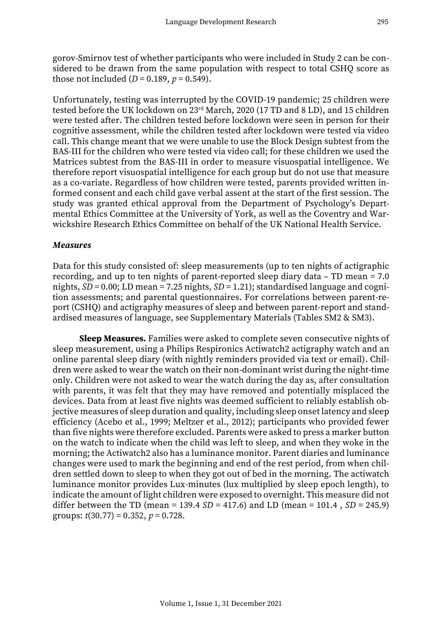gorov-Smirnov test of whether participants who were included in Study 2 can be considered to be drawn from the same population with respect to total CSHQ score as those not included  $(D = 0.189, p = 0.549)$ .

Unfortunately, testing was interrupted by the COVID-19 pandemic; 25 children were tested before the UK lockdown on 23rd March, 2020 (17 TD and 8 LD), and 15 children were tested after. The children tested before lockdown were seen in person for their cognitive assessment, while the children tested after lockdown were tested via video call. This change meant that we were unable to use the Block Design subtest from the BAS-III for the children who were tested via video call; for these children we used the Matrices subtest from the BAS-III in order to measure visuospatial intelligence. We therefore report visuospatial intelligence for each group but do not use that measure as a co-variate. Regardless of how children were tested, parents provided written informed consent and each child gave verbal assent at the start of the first session. The study was granted ethical approval from the Department of Psychology's Departmental Ethics Committee at the University of York, as well as the Coventry and Warwickshire Research Ethics Committee on behalf of the UK National Health Service.

### *Measures*

Data for this study consisted of: sleep measurements (up to ten nights of actigraphic recording, and up to ten nights of parent-reported sleep diary data – TD mean = 7.0 nights, *SD* = 0.00; LD mean = 7.25 nights, *SD* = 1.21); standardised language and cognition assessments; and parental questionnaires. For correlations between parent-report (CSHQ) and actigraphy measures of sleep and between parent-report and standardised measures of language, see Supplementary Materials (Tables SM2 & SM3).

**Sleep Measures.** Families were asked to complete seven consecutive nights of sleep measurement, using a Philips Respironics Actiwatch2 actigraphy watch and an online parental sleep diary (with nightly reminders provided via text or email). Children were asked to wear the watch on their non-dominant wrist during the night-time only. Children were not asked to wear the watch during the day as, after consultation with parents, it was felt that they may have removed and potentially misplaced the devices. Data from at least five nights was deemed sufficient to reliably establish objective measures of sleep duration and quality, including sleep onset latency and sleep efficiency (Acebo et al., 1999; Meltzer et al., 2012); participants who provided fewer than five nights were therefore excluded. Parents were asked to press a marker button on the watch to indicate when the child was left to sleep, and when they woke in the morning; the Actiwatch2 also has a luminance monitor. Parent diaries and luminance changes were used to mark the beginning and end of the rest period, from when children settled down to sleep to when they got out of bed in the morning. The actiwatch luminance monitor provides Lux-minutes (lux multiplied by sleep epoch length), to indicate the amount of light children were exposed to overnight. This measure did not differ between the TD (mean = 139.4  $SD = 417.6$ ) and LD (mean = 101.4,  $SD = 245.9$ ) groups: *t*(30.77) = 0.352, *p* = 0.728.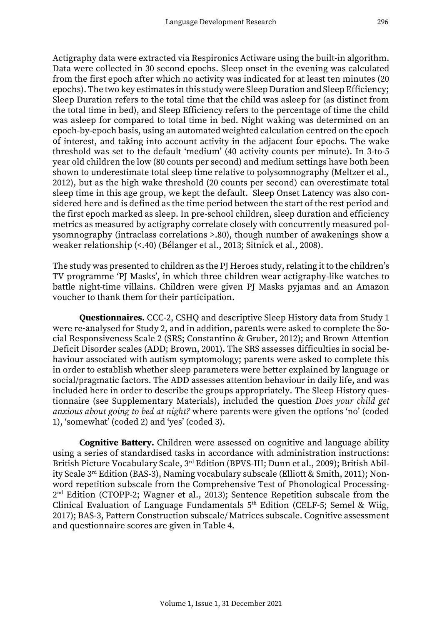Actigraphy data were extracted via Respironics Actiware using the built-in algorithm. Data were collected in 30 second epochs. Sleep onset in the evening was calculated from the first epoch after which no activity was indicated for at least ten minutes (20 epochs). The two key estimates in this study were Sleep Duration and Sleep Efficiency; Sleep Duration refers to the total time that the child was asleep for (as distinct from the total time in bed), and Sleep Efficiency refers to the percentage of time the child was asleep for compared to total time in bed. Night waking was determined on an epoch-by-epoch basis, using an automated weighted calculation centred on the epoch of interest, and taking into account activity in the adjacent four epochs. The wake threshold was set to the default 'medium' (40 activity counts per minute). In 3-to-5 year old children the low (80 counts per second) and medium settings have both been shown to underestimate total sleep time relative to polysomnography (Meltzer et al., 2012), but as the high wake threshold (20 counts per second) can overestimate total sleep time in this age group, we kept the default. Sleep Onset Latency was also considered here and is defined as the time period between the start of the rest period and the first epoch marked as sleep. In pre-school children, sleep duration and efficiency metrics as measured by actigraphy correlate closely with concurrently measured polysomnography (intraclass correlations >.80), though number of awakenings show a weaker relationship (<.40) (Bélanger et al., 2013; Sitnick et al., 2008).

The study was presented to children as the PJ Heroes study, relating it to the children's TV programme 'PJ Masks', in which three children wear actigraphy-like watches to battle night-time villains. Children were given PJ Masks pyjamas and an Amazon voucher to thank them for their participation.

**Questionnaires***.* CCC-2, CSHQ and descriptive Sleep History data from Study 1 were re-analysed for Study 2, and in addition, parents were asked to complete the Social Responsiveness Scale 2 (SRS; Constantino & Gruber, 2012); and Brown Attention Deficit Disorder scales (ADD; Brown, 2001). The SRS assesses difficulties in social behaviour associated with autism symptomology; parents were asked to complete this in order to establish whether sleep parameters were better explained by language or social/pragmatic factors. The ADD assesses attention behaviour in daily life, and was included here in order to describe the groups appropriately. The Sleep History questionnaire (see Supplementary Materials), included the question *Does your child get anxious about going to bed at night?* where parents were given the options 'no' (coded 1), 'somewhat' (coded 2) and 'yes' (coded 3).

**Cognitive Battery.** Children were assessed on cognitive and language ability using a series of standardised tasks in accordance with administration instructions: British Picture Vocabulary Scale, 3<sup>rd</sup> Edition (BPVS-III; Dunn et al., 2009); British Ability Scale 3<sup>rd</sup> Edition (BAS-3), Naming vocabulary subscale (Elliott & Smith, 2011); Nonword repetition subscale from the Comprehensive Test of Phonological Processing-2 nd Edition (CTOPP-2; Wagner et al., 2013); Sentence Repetition subscale from the Clinical Evaluation of Language Fundamentals 5th Edition (CELF-5; Semel & Wiig, 2017); BAS-3, Pattern Construction subscale/ Matrices subscale. Cognitive assessment and questionnaire scores are given in Table 4.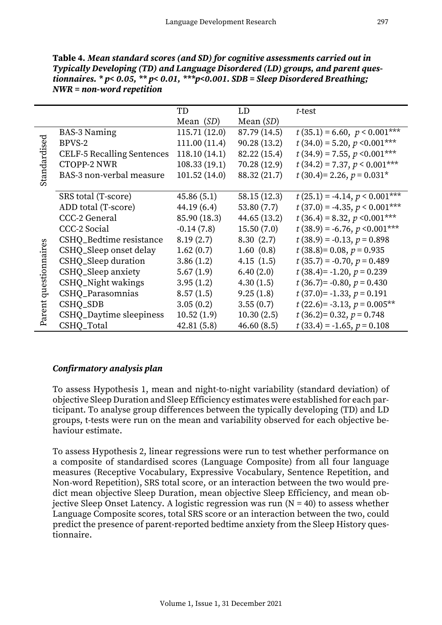|                       |                                   | TD            | LD           | t-test                          |
|-----------------------|-----------------------------------|---------------|--------------|---------------------------------|
|                       |                                   | Mean $(SD)$   | Mean $(SD)$  |                                 |
|                       | <b>BAS-3 Naming</b>               | 115.71(12.0)  | 87.79 (14.5) | $t(35.1) = 6.60, p < 0.001***$  |
|                       | BPVS-2                            | 111.00 (11.4) | 90.28(13.2)  | $t(34.0) = 5.20, p < 0.001***$  |
|                       | <b>CELF-5 Recalling Sentences</b> | 118.10(14.1)  | 82.22 (15.4) | $t(34.9) = 7.55, p < 0.001***$  |
|                       | <b>CTOPP-2 NWR</b>                | 108.33(19.1)  | 70.28 (12.9) | $t(34.2) = 7.37, p < 0.001***$  |
| Standardised          | BAS-3 non-verbal measure          | 101.52(14.0)  | 88.32 (21.7) | $t(30.4)=2.26, p=0.031*$        |
|                       |                                   |               |              |                                 |
|                       | SRS total (T-score)               | 45.86(5.1)    | 58.15(12.3)  | $t(25.1) = -4.14, p < 0.001***$ |
|                       | ADD total (T-score)               | 44.19(6.4)    | 53.80(7.7)   | $t(37.0) = -4.35, p < 0.001***$ |
|                       | CCC-2 General                     | 85.90 (18.3)  | 44.65 (13.2) | $t(36.4) = 8.32, p < 0.001***$  |
|                       | CCC-2 Social                      | $-0.14(7.8)$  | 15.50(7.0)   | $t(38.9) = -6.76, p < 0.001***$ |
|                       | CSHQ_Bedtime resistance           | 8.19(2.7)     | 8.30(2.7)    | $t(38.9) = -0.13, p = 0.898$    |
|                       | CSHQ_Sleep onset delay            | 1.62(0.7)     | 1.60(0.8)    | $t(38.8)=0.08, p=0.935$         |
|                       | CSHQ_Sleep duration               | 3.86(1.2)     | 4.15(1.5)    | $t(35.7) = -0.70, p = 0.489$    |
|                       | CSHQ_Sleep anxiety                | 5.67(1.9)     | 6.40(2.0)    | $t(38.4)= -1.20, p=0.239$       |
|                       | CSHQ_Night wakings                | 3.95(1.2)     | 4.30(1.5)    | $t(36.7)= -0.80, p=0.430$       |
| Parent questionnaires | CSHQ_Parasomnias                  | 8.57(1.5)     | 9.25(1.8)    | $t(37.0)$ = -1.33, $p = 0.191$  |
|                       | CSHQ_SDB                          | 3.05(0.2)     | 3.55(0.7)    | $t(22.6) = -3.13, p = 0.005**$  |
|                       | CSHQ_Daytime sleepiness           | 10.52(1.9)    | 10.30(2.5)   | $t(36.2)=0.32, p=0.748$         |
|                       | CSHQ_Total                        | 42.81(5.8)    | 46.60(8.5)   | $t(33.4) = -1.65$ , $p = 0.108$ |

**Table 4.** *Mean standard scores (and SD) for cognitive assessments carried out in Typically Developing (TD) and Language Disordered (LD) groups, and parent questionnaires. \* p< 0.05, \*\* p< 0.01, \*\*\*p<0.001. SDB = Sleep Disordered Breathing; NWR = non-word repetition*

## *Confirmatory analysis plan*

To assess Hypothesis 1, mean and night-to-night variability (standard deviation) of objective Sleep Duration and Sleep Efficiency estimates were established for each participant. To analyse group differences between the typically developing (TD) and LD groups, t-tests were run on the mean and variability observed for each objective behaviour estimate.

To assess Hypothesis 2, linear regressions were run to test whether performance on a composite of standardised scores (Language Composite) from all four language measures (Receptive Vocabulary, Expressive Vocabulary, Sentence Repetition, and Non-word Repetition), SRS total score, or an interaction between the two would predict mean objective Sleep Duration, mean objective Sleep Efficiency, and mean objective Sleep Onset Latency. A logistic regression was run  $(N = 40)$  to assess whether Language Composite scores, total SRS score or an interaction between the two, could predict the presence of parent-reported bedtime anxiety from the Sleep History questionnaire.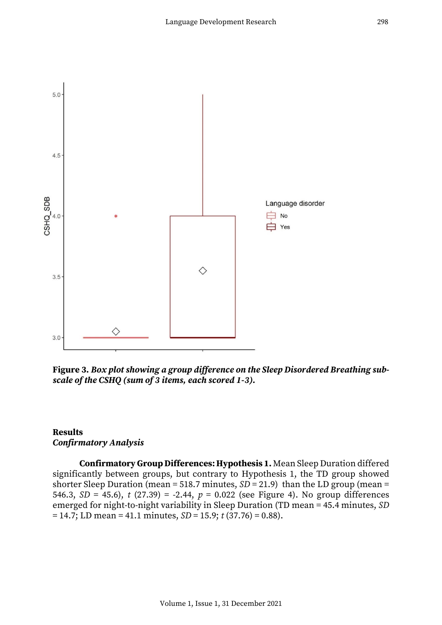

**Figure 3.** *Box plot showing a group difference on the Sleep Disordered Breathing subscale of the CSHQ (sum of 3 items, each scored 1-3).*

## **Results** *Confirmatory Analysis*

**Confirmatory Group Differences: Hypothesis 1.** Mean Sleep Duration differed significantly between groups, but contrary to Hypothesis 1, the TD group showed shorter Sleep Duration (mean = 518.7 minutes,  $SD = 21.9$ ) than the LD group (mean = 546.3, *SD* = 45.6), *t* (27.39) = -2.44, *p* = 0.022 (see Figure 4). No group differences emerged for night-to-night variability in Sleep Duration (TD mean = 45.4 minutes, *SD* = 14.7; LD mean = 41.1 minutes, *SD* = 15.9; *t* (37.76) = 0.88).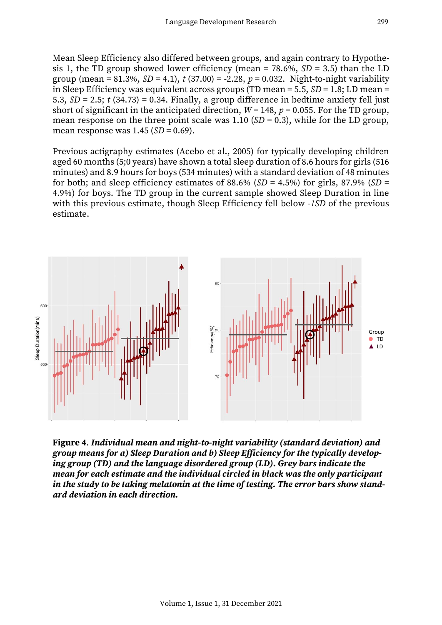Mean Sleep Efficiency also differed between groups, and again contrary to Hypothesis 1, the TD group showed lower efficiency (mean = 78.6%, *SD* = 3.5) than the LD group (mean = 81.3%,  $SD = 4.1$ ),  $t(37.00) = -2.28$ ,  $p = 0.032$ . Night-to-night variability in Sleep Efficiency was equivalent across groups (TD mean = 5.5, *SD* = 1.8; LD mean = 5.3,  $SD = 2.5$ ;  $t$  (34.73) = 0.34. Finally, a group difference in bedtime anxiety fell just short of significant in the anticipated direction,  $W = 148$ ,  $p = 0.055$ . For the TD group, mean response on the three point scale was  $1.10(SD = 0.3)$ , while for the LD group, mean response was 1.45 (*SD* = 0.69).

Previous actigraphy estimates (Acebo et al., 2005) for typically developing children aged 60 months (5;0 years) have shown a total sleep duration of 8.6 hours for girls (516 minutes) and 8.9 hours for boys (534 minutes) with a standard deviation of 48 minutes for both; and sleep efficiency estimates of 88.6% ( $SD = 4.5\%$ ) for girls, 87.9% ( $SD =$ 4.9%) for boys. The TD group in the current sample showed Sleep Duration in line with this previous estimate, though Sleep Efficiency fell below -*1SD* of the previous estimate.



**Figure 4**. *Individual mean and night-to-night variability (standard deviation) and group means for a) Sleep Duration and b) Sleep Efficiency for the typically developing group (TD) and the language disordered group (LD). Grey bars indicate the mean for each estimate and the individual circled in black was the only participant in the study to be taking melatonin at the time of testing. The error bars show standard deviation in each direction.*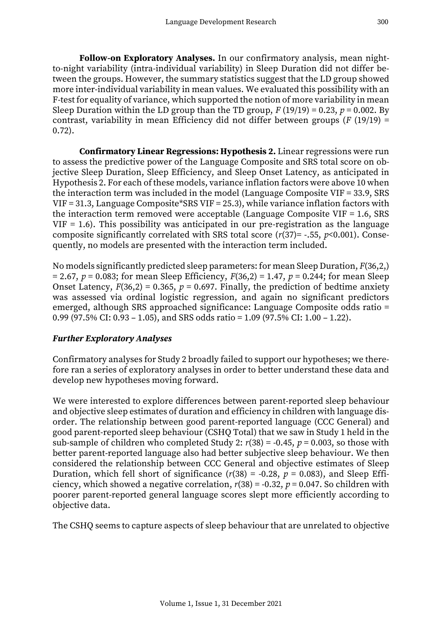**Follow-on Exploratory Analyses.** In our confirmatory analysis, mean nightto-night variability (intra-individual variability) in Sleep Duration did not differ between the groups. However, the summary statistics suggest that the LD group showed more inter-individual variability in mean values. We evaluated this possibility with an F-test for equality of variance, which supported the notion of more variability in mean Sleep Duration within the LD group than the TD group,  $F(19/19) = 0.23$ ,  $p = 0.002$ . By contrast, variability in mean Efficiency did not differ between groups (*F* (19/19) = 0.72).

**Confirmatory Linear Regressions: Hypothesis 2.** Linear regressions were run to assess the predictive power of the Language Composite and SRS total score on objective Sleep Duration, Sleep Efficiency, and Sleep Onset Latency, as anticipated in Hypothesis 2. For each of these models, variance inflation factors were above 10 when the interaction term was included in the model (Language Composite VIF = 33.9, SRS VIF = 31.3, Language Composite\*SRS VIF = 25.3), while variance inflation factors with the interaction term removed were acceptable (Language Composite VIF = 1.6, SRS  $VIF = 1.6$ ). This possibility was anticipated in our pre-registration as the language composite significantly correlated with SRS total score (*r*(37)= -.55, *p*<0.001). Consequently, no models are presented with the interaction term included.

No models significantly predicted sleep parameters: for mean Sleep Duration, *F*(36,2,) = 2.67, *p* = 0.083; for mean Sleep Efficiency, *F*(36,2) = 1.47, *p* = 0.244; for mean Sleep Onset Latency,  $F(36,2) = 0.365$ ,  $p = 0.697$ . Finally, the prediction of bedtime anxiety was assessed via ordinal logistic regression, and again no significant predictors emerged, although SRS approached significance: Language Composite odds ratio = 0.99 (97.5% CI: 0.93 – 1.05), and SRS odds ratio = 1.09 (97.5% CI: 1.00 – 1.22).

## *Further Exploratory Analyses*

Confirmatory analyses for Study 2 broadly failed to support our hypotheses; we therefore ran a series of exploratory analyses in order to better understand these data and develop new hypotheses moving forward.

We were interested to explore differences between parent-reported sleep behaviour and objective sleep estimates of duration and efficiency in children with language disorder. The relationship between good parent-reported language (CCC General) and good parent-reported sleep behaviour (CSHQ Total) that we saw in Study 1 held in the sub-sample of children who completed Study 2:  $r(38) = -0.45$ ,  $p = 0.003$ , so those with better parent-reported language also had better subjective sleep behaviour. We then considered the relationship between CCC General and objective estimates of Sleep Duration, which fell short of significance  $(r(38) = -0.28, p = 0.083)$ , and Sleep Efficiency, which showed a negative correlation,  $r(38) = -0.32$ ,  $p = 0.047$ . So children with poorer parent-reported general language scores slept more efficiently according to objective data.

The CSHQ seems to capture aspects of sleep behaviour that are unrelated to objective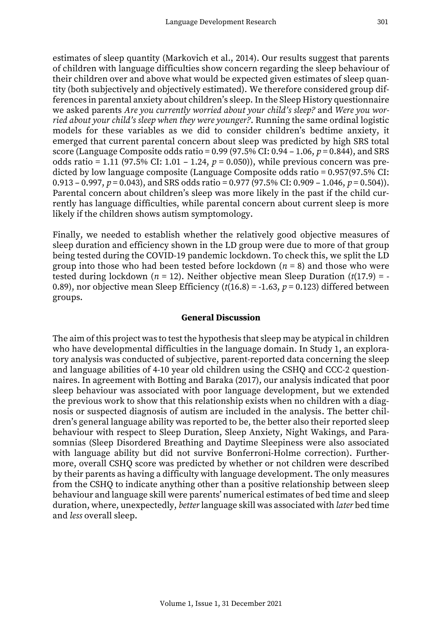estimates of sleep quantity (Markovich et al., 2014). Our results suggest that parents of children with language difficulties show concern regarding the sleep behaviour of their children over and above what would be expected given estimates of sleep quantity (both subjectively and objectively estimated). We therefore considered group differences in parental anxiety about children's sleep. In the Sleep History questionnaire we asked parents *Are you currently worried about your child's sleep?* and *Were you worried about your child's sleep when they were younger?*. Running the same ordinal logistic models for these variables as we did to consider children's bedtime anxiety, it emerged that current parental concern about sleep was predicted by high SRS total score (Language Composite odds ratio = 0.99 (97.5% CI: 0.94 – 1.06, *p* = 0.844), and SRS odds ratio = 1.11 (97.5% CI: 1.01 – 1.24, *p* = 0.050)), while previous concern was predicted by low language composite (Language Composite odds ratio = 0.957(97.5% CI: 0.913 – 0.997, *p* = 0.043), and SRS odds ratio = 0.977 (97.5% CI: 0.909 – 1.046, *p* = 0.504)). Parental concern about children's sleep was more likely in the past if the child currently has language difficulties, while parental concern about current sleep is more likely if the children shows autism symptomology.

Finally, we needed to establish whether the relatively good objective measures of sleep duration and efficiency shown in the LD group were due to more of that group being tested during the COVID-19 pandemic lockdown. To check this, we split the LD group into those who had been tested before lockdown  $(n = 8)$  and those who were tested during lockdown ( $n = 12$ ). Neither objective mean Sleep Duration ( $t(17.9) = -$ 0.89), nor objective mean Sleep Efficiency  $(t(16.8) = -1.63, p = 0.123)$  differed between groups.

### **General Discussion**

The aim of this project was to test the hypothesis that sleep may be atypical in children who have developmental difficulties in the language domain. In Study 1, an exploratory analysis was conducted of subjective, parent-reported data concerning the sleep and language abilities of 4-10 year old children using the CSHQ and CCC-2 questionnaires. In agreement with Botting and Baraka (2017), our analysis indicated that poor sleep behaviour was associated with poor language development, but we extended the previous work to show that this relationship exists when no children with a diagnosis or suspected diagnosis of autism are included in the analysis. The better children's general language ability was reported to be, the better also their reported sleep behaviour with respect to Sleep Duration, Sleep Anxiety, Night Wakings, and Parasomnias (Sleep Disordered Breathing and Daytime Sleepiness were also associated with language ability but did not survive Bonferroni-Holme correction). Furthermore, overall CSHQ score was predicted by whether or not children were described by their parents as having a difficulty with language development. The only measures from the CSHQ to indicate anything other than a positive relationship between sleep behaviour and language skill were parents' numerical estimates of bed time and sleep duration, where, unexpectedly, *better* language skill was associated with *later* bed time and *less* overall sleep.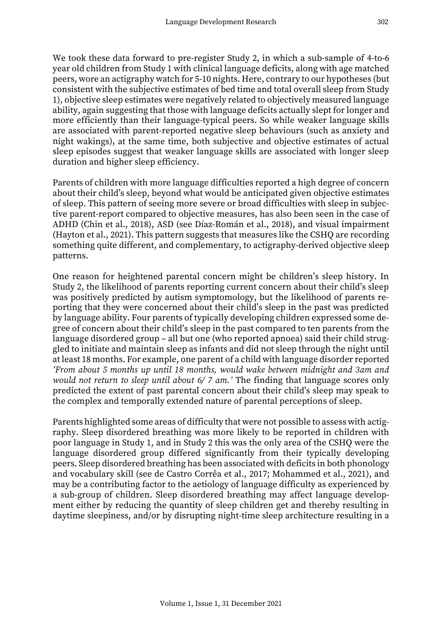We took these data forward to pre-register Study 2, in which a sub-sample of 4-to-6 year old children from Study 1 with clinical language deficits, along with age matched peers, wore an actigraphy watch for 5-10 nights. Here, contrary to our hypotheses (but consistent with the subjective estimates of bed time and total overall sleep from Study 1), objective sleep estimates were negatively related to objectively measured language ability, again suggesting that those with language deficits actually slept for longer and more efficiently than their language-typical peers. So while weaker language skills are associated with parent-reported negative sleep behaviours (such as anxiety and night wakings), at the same time, both subjective and objective estimates of actual sleep episodes suggest that weaker language skills are associated with longer sleep duration and higher sleep efficiency.

Parents of children with more language difficulties reported a high degree of concern about their child's sleep, beyond what would be anticipated given objective estimates of sleep. This pattern of seeing more severe or broad difficulties with sleep in subjective parent-report compared to objective measures, has also been seen in the case of ADHD (Chin et al., 2018), ASD (see Díaz-Román et al., 2018), and visual impairment (Hayton et al., 2021). This pattern suggests that measures like the CSHQ are recording something quite different, and complementary, to actigraphy-derived objective sleep patterns.

One reason for heightened parental concern might be children's sleep history. In Study 2, the likelihood of parents reporting current concern about their child's sleep was positively predicted by autism symptomology, but the likelihood of parents reporting that they were concerned about their child's sleep in the past was predicted by language ability. Four parents of typically developing children expressed some degree of concern about their child's sleep in the past compared to ten parents from the language disordered group – all but one (who reported apnoea) said their child struggled to initiate and maintain sleep as infants and did not sleep through the night until at least 18 months. For example, one parent of a child with language disorder reported *'From about 5 months up until 18 months, would wake between midnight and 3am and would not return to sleep until about 6/ 7 am.'* The finding that language scores only predicted the extent of past parental concern about their child's sleep may speak to the complex and temporally extended nature of parental perceptions of sleep.

Parents highlighted some areas of difficulty that were not possible to assess with actigraphy. Sleep disordered breathing was more likely to be reported in children with poor language in Study 1, and in Study 2 this was the only area of the CSHQ were the language disordered group differed significantly from their typically developing peers. Sleep disordered breathing has been associated with deficits in both phonology and vocabulary skill (see de Castro Corrêa et al., 2017; Mohammed et al., 2021), and may be a contributing factor to the aetiology of language difficulty as experienced by a sub-group of children. Sleep disordered breathing may affect language development either by reducing the quantity of sleep children get and thereby resulting in daytime sleepiness, and/or by disrupting night-time sleep architecture resulting in a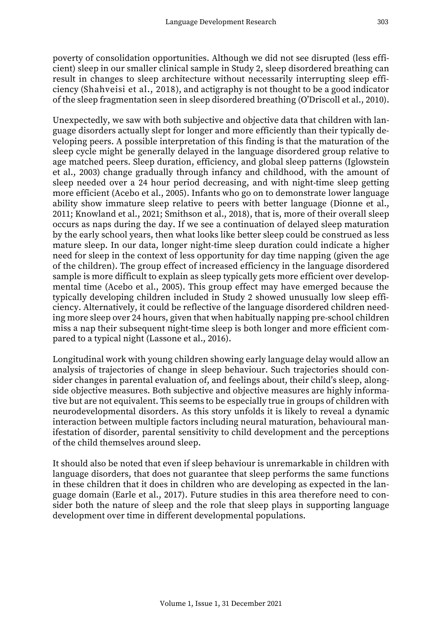poverty of consolidation opportunities. Although we did not see disrupted (less efficient) sleep in our smaller clinical sample in Study 2, sleep disordered breathing can result in changes to sleep architecture without necessarily interrupting sleep efficiency (Shahveisi et al., 2018), and actigraphy is not thought to be a good indicator of the sleep fragmentation seen in sleep disordered breathing (O'Driscoll et al., 2010).

Unexpectedly, we saw with both subjective and objective data that children with language disorders actually slept for longer and more efficiently than their typically developing peers. A possible interpretation of this finding is that the maturation of the sleep cycle might be generally delayed in the language disordered group relative to age matched peers. Sleep duration, efficiency, and global sleep patterns (Iglowstein et al., 2003) change gradually through infancy and childhood, with the amount of sleep needed over a 24 hour period decreasing, and with night-time sleep getting more efficient (Acebo et al., 2005). Infants who go on to demonstrate lower language ability show immature sleep relative to peers with better language (Dionne et al., 2011; Knowland et al., 2021; Smithson et al., 2018), that is, more of their overall sleep occurs as naps during the day. If we see a continuation of delayed sleep maturation by the early school years, then what looks like better sleep could be construed as less mature sleep. In our data, longer night-time sleep duration could indicate a higher need for sleep in the context of less opportunity for day time napping (given the age of the children). The group effect of increased efficiency in the language disordered sample is more difficult to explain as sleep typically gets more efficient over developmental time (Acebo et al., 2005). This group effect may have emerged because the typically developing children included in Study 2 showed unusually low sleep efficiency. Alternatively, it could be reflective of the language disordered children needing more sleep over 24 hours, given that when habitually napping pre-school children miss a nap their subsequent night-time sleep is both longer and more efficient compared to a typical night (Lassone et al., 2016).

Longitudinal work with young children showing early language delay would allow an analysis of trajectories of change in sleep behaviour. Such trajectories should consider changes in parental evaluation of, and feelings about, their child's sleep, alongside objective measures. Both subjective and objective measures are highly informative but are not equivalent. This seems to be especially true in groups of children with neurodevelopmental disorders. As this story unfolds it is likely to reveal a dynamic interaction between multiple factors including neural maturation, behavioural manifestation of disorder, parental sensitivity to child development and the perceptions of the child themselves around sleep.

It should also be noted that even if sleep behaviour is unremarkable in children with language disorders, that does not guarantee that sleep performs the same functions in these children that it does in children who are developing as expected in the language domain (Earle et al., 2017). Future studies in this area therefore need to consider both the nature of sleep and the role that sleep plays in supporting language development over time in different developmental populations.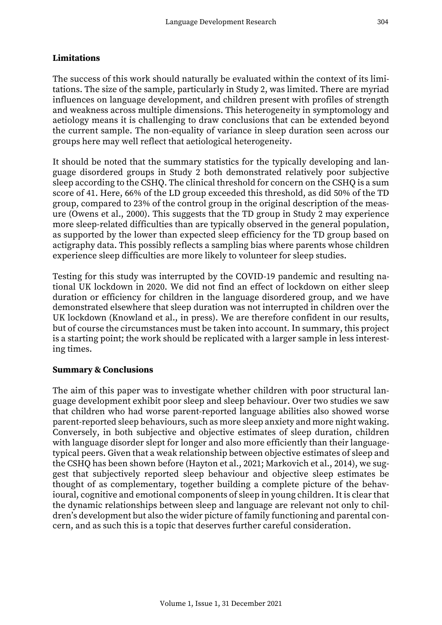#### **Limitations**

The success of this work should naturally be evaluated within the context of its limitations. The size of the sample, particularly in Study 2, was limited. There are myriad influences on language development, and children present with profiles of strength and weakness across multiple dimensions. This heterogeneity in symptomology and aetiology means it is challenging to draw conclusions that can be extended beyond the current sample. The non-equality of variance in sleep duration seen across our groups here may well reflect that aetiological heterogeneity.

It should be noted that the summary statistics for the typically developing and language disordered groups in Study 2 both demonstrated relatively poor subjective sleep according to the CSHQ. The clinical threshold for concern on the CSHQ is a sum score of 41. Here, 66% of the LD group exceeded this threshold, as did 50% of the TD group, compared to 23% of the control group in the original description of the measure (Owens et al., 2000). This suggests that the TD group in Study 2 may experience more sleep-related difficulties than are typically observed in the general population, as supported by the lower than expected sleep efficiency for the TD group based on actigraphy data. This possibly reflects a sampling bias where parents whose children experience sleep difficulties are more likely to volunteer for sleep studies.

Testing for this study was interrupted by the COVID-19 pandemic and resulting national UK lockdown in 2020. We did not find an effect of lockdown on either sleep duration or efficiency for children in the language disordered group, and we have demonstrated elsewhere that sleep duration was not interrupted in children over the UK lockdown (Knowland et al., in press). We are therefore confident in our results, but of course the circumstances must be taken into account. In summary, this project is a starting point; the work should be replicated with a larger sample in less interesting times.

#### **Summary & Conclusions**

The aim of this paper was to investigate whether children with poor structural language development exhibit poor sleep and sleep behaviour. Over two studies we saw that children who had worse parent-reported language abilities also showed worse parent-reported sleep behaviours, such as more sleep anxiety and more night waking. Conversely, in both subjective and objective estimates of sleep duration, children with language disorder slept for longer and also more efficiently than their languagetypical peers. Given that a weak relationship between objective estimates of sleep and the CSHQ has been shown before (Hayton et al., 2021; Markovich et al., 2014), we suggest that subjectively reported sleep behaviour and objective sleep estimates be thought of as complementary, together building a complete picture of the behavioural, cognitive and emotional components of sleep in young children. It is clear that the dynamic relationships between sleep and language are relevant not only to children's development but also the wider picture of family functioning and parental concern, and as such this is a topic that deserves further careful consideration.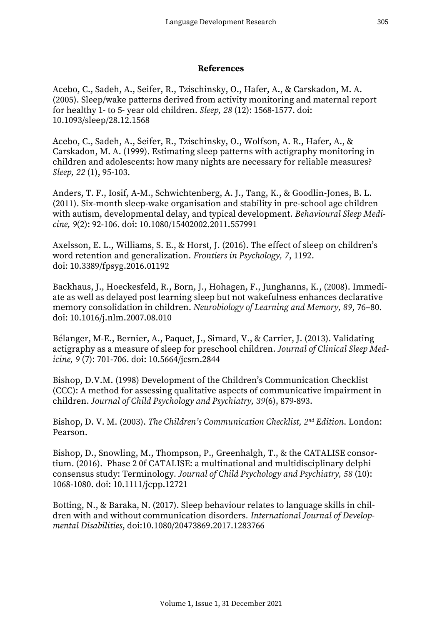### **References**

Acebo, C., Sadeh, A., Seifer, R., Tzischinsky, O., Hafer, A., & Carskadon, M. A. (2005). Sleep/wake patterns derived from activity monitoring and maternal report for healthy 1- to 5- year old children. *Sleep, 28* (12): 1568-1577. doi: 10.1093/sleep/28.12.1568

Acebo, C., Sadeh, A., Seifer, R., Tzischinsky, O., Wolfson, A. R., Hafer, A., & Carskadon, M. A. (1999). Estimating sleep patterns with actigraphy monitoring in children and adolescents: how many nights are necessary for reliable measures? *Sleep, 22* (1), 95-103.

Anders, T. F., Iosif, A-M., Schwichtenberg, A. J., Tang, K., & Goodlin-Jones, B. L. (2011). Six-month sleep-wake organisation and stability in pre-school age children with autism, developmental delay, and typical development. *Behavioural Sleep Medicine, 9*(2): 92-106. doi: 10.1080/15402002.2011.557991

Axelsson, E. L., Williams, S. E., & Horst, J. (2016). The effect of sleep on children's word retention and generalization. *Frontiers in Psychology, 7*, 1192. doi: 10.3389/fpsyg.2016.01192

Backhaus, J., Hoeckesfeld, R., Born, J., Hohagen, F., Junghanns, K., (2008). Immediate as well as delayed post learning sleep but not wakefulness enhances declarative memory consolidation in children. *Neurobiology of Learning and Memory, 89*, 76–80. doi: 10.1016/j.nlm.2007.08.010

Bélanger, M-E., Bernier, A., Paquet, J., Simard, V., & Carrier, J. (2013). Validating actigraphy as a measure of sleep for preschool children. *Journal of Clinical Sleep Medicine, 9* (7): 701-706. doi: 10.5664/jcsm.2844

Bishop, D.V.M. (1998) Development of the Children's Communication Checklist (CCC): A method for assessing qualitative aspects of communicative impairment in children. *Journal of Child Psychology and Psychiatry, 39*(6), 879-893.

Bishop, D. V. M. (2003). *The Children's Communication Checklist, 2nd Edition*. London: Pearson.

Bishop, D., Snowling, M., Thompson, P., Greenhalgh, T., & the CATALISE consortium. (2016). Phase 2 0f CATALISE: a multinational and multidisciplinary delphi consensus study: Terminology*. Journal of Child Psychology and Psychiatry, 58* (10): 1068-1080. doi: 10.1111/jcpp.12721

Botting, N., & Baraka, N. (2017). Sleep behaviour relates to language skills in children with and without communication disorders*. International Journal of Developmental Disabilities*, doi:10.1080/20473869.2017.1283766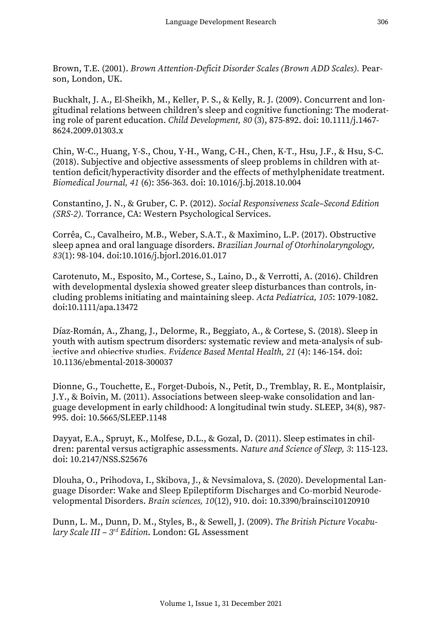Brown, T.E. (2001). *Brown Attention-Deficit Disorder Scales (Brown ADD Scales).* Pearson, London, UK.

Buckhalt, J. A., El-Sheikh, M., Keller, P. S., & Kelly, R. J. (2009). Concurrent and longitudinal relations between children's sleep and cognitive functioning: The moderating role of parent education. *Child Development, 80* (3), 875-892. doi: 10.1111/j.1467- 8624.2009.01303.x

Chin, W-C., Huang, Y-S., Chou, Y-H., Wang, C-H., Chen, K-T., Hsu, J.F., & Hsu, S-C. (2018). Subjective and objective assessments of sleep problems in children with attention deficit/hyperactivity disorder and the effects of methylphenidate treatment. *Biomedical Journal, 41* (6): 356-363. doi: 10.1016/j.bj.2018.10.004

Constantino, J. N., & Gruber, C. P. (2012). *Social Responsiveness Scale–Second Edition (SRS-2).* Torrance, CA: Western Psychological Services.

Corrêa, C., Cavalheiro, M.B., Weber, S.A.T., & Maximino, L.P. (2017). Obstructive sleep apnea and oral language disorders. *Brazilian Journal of Otorhinolaryngology, 83*(1): 98-104. doi:10.1016/j.bjorl.2016.01.017

Carotenuto, M., Esposito, M., Cortese, S., Laino, D., & Verrotti, A. (2016). Children with developmental dyslexia showed greater sleep disturbances than controls, including problems initiating and maintaining sleep*. Acta Pediatrica, 105*: 1079-1082. doi:10.1111/apa.13472

Díaz-Román, A., Zhang, J., Delorme, R., Beggiato, A., & Cortese, S. (2018). Sleep in youth with autism spectrum disorders: systematic review and meta-analysis of subjective and objective studies. *Evidence Based Mental Health, 21* (4): 146-154. doi: 10.1136/ebmental-2018-300037

Dionne, G., Touchette, E., Forget-Dubois, N., Petit, D., Tremblay, R. E., Montplaisir, J.Y., & Boivin, M. (2011). Associations between sleep-wake consolidation and language development in early childhood: A longitudinal twin study. SLEEP, 34(8), 987- 995. doi: 10.5665/SLEEP.1148

Dayyat, E.A., Spruyt, K., Molfese, D.L., & Gozal, D. (2011). Sleep estimates in children: parental versus actigraphic assessments. *Nature and Science of Sleep, 3*: 115-123. doi: 10.2147/NSS.S25676

Dlouha, O., Prihodova, I., Skibova, J., & Nevsimalova, S. (2020). Developmental Language Disorder: Wake and Sleep Epileptiform Discharges and Co-morbid Neurodevelopmental Disorders. *Brain sciences, 10*(12), 910. doi: 10.3390/brainsci10120910

Dunn, L. M., Dunn, D. M., Styles, B., & Sewell, J. (2009). *The British Picture Vocabulary Scale III – 3rd Edition*. London: GL Assessment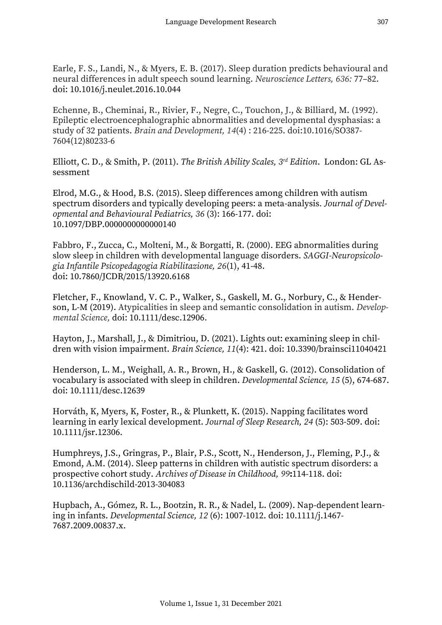Earle, F. S., Landi, N., & Myers, E. B. (2017). Sleep duration predicts behavioural and neural differences in adult speech sound learning. *Neuroscience Letters, 636:* 77–82. doi: 10.1016/j.neulet.2016.10.044

Echenne, B., Cheminai, R., Rivier, F., Negre, C., Touchon, J., & Billiard, M. (1992). Epileptic electroencephalographic abnormalities and developmental dysphasias: a study of 32 patients. *Brain and Development, 14*(4) : 216-225. doi:10.1016/SO387- 7604(12)80233-6

Elliott, C. D., & Smith, P. (2011). *The British Ability Scales, 3rd Edition*. London: GL Assessment

Elrod, M.G., & Hood, B.S. (2015). Sleep differences among children with autism spectrum disorders and typically developing peers: a meta-analysis*. Journal of Developmental and Behavioural Pediatrics, 36* (3): 166-177. doi: 10.1097/DBP.0000000000000140

Fabbro, F., Zucca, C., Molteni, M., & Borgatti, R. (2000). EEG abnormalities during slow sleep in children with developmental language disorders. *SAGGI-Neuropsicologia Infantile Psicopedagogia Riabilitazione, 26*(1), 41-48. doi: 10.7860/JCDR/2015/13920.6168

Fletcher, F., Knowland, V. C. P., Walker, S., Gaskell, M. G., Norbury, C., & Henderson, L-M (2019). Atypicalities in sleep and semantic consolidation in autism. *Developmental Science,* doi: 10.1111/desc.12906.

Hayton, J., Marshall, J., & Dimitriou, D. (2021). Lights out: examining sleep in children with vision impairment. *Brain Science, 11*(4): 421. doi: 10.3390/brainsci11040421

Henderson, L. M., Weighall, A. R., Brown, H., & Gaskell, G. (2012). Consolidation of vocabulary is associated with sleep in children. *Developmental Science, 15* (5), 674-687. doi: 10.1111/desc.12639

Horváth, K, Myers, K, Foster, R., & Plunkett, K. (2015). Napping facilitates word learning in early lexical development. *Journal of Sleep Research, 24* (5): 503-509. doi: 10.1111/jsr.12306.

Humphreys, J.S., Gringras, P., Blair, P.S., Scott, N., Henderson, J., Fleming, P.J., & Emond, A.M. (2014). Sleep patterns in children with autistic spectrum disorders: a prospective cohort study. *Archives of Disease in Childhood, 99***:**114-118. doi: 10.1136/archdischild-2013-304083

Hupbach, A., Gómez, R. L., Bootzin, R. R., & Nadel, L. (2009). Nap-dependent learning in infants. *Developmental Science, 12* (6): 1007-1012. doi: 10.1111/j.1467- 7687.2009.00837.x.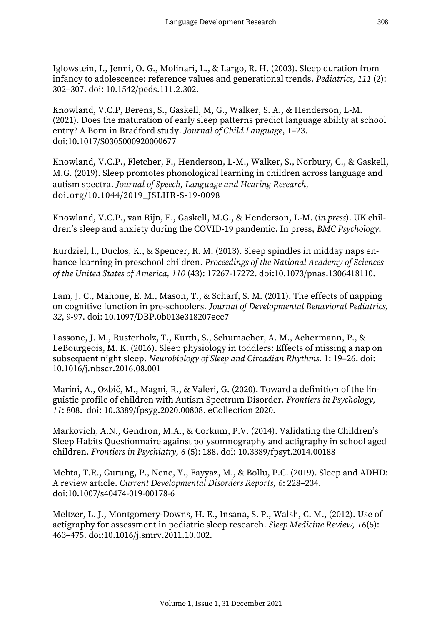Iglowstein, I., Jenni, O. G., Molinari, L., & Largo, R. H. (2003). Sleep duration from infancy to adolescence: reference values and generational trends. *Pediatrics, 111* (2): 302–307. doi: 10.1542/peds.111.2.302.

Knowland, V.C.P, Berens, S., Gaskell, M, G., Walker, S. A., & Henderson, L-M. (2021). Does the maturation of early sleep patterns predict language ability at school entry? A Born in Bradford study. *Journal of Child Language*, 1–23. doi:10.1017/S0305000920000677

Knowland, V.C.P., Fletcher, F., Henderson, L-M., Walker, S., Norbury, C., & Gaskell, M.G. (2019). Sleep promotes phonological learning in children across language and autism spectra. *Journal of Speech, Language and Hearing Research,*  doi.org/10.1044/2019\_JSLHR-S-19-0098

Knowland, V.C.P., van Rijn, E., Gaskell, M.G., & Henderson, L-M. (*in press*). UK children's sleep and anxiety during the COVID-19 pandemic. In press, *BMC Psychology*.

Kurdziel, l., Duclos, K., & Spencer, R. M. (2013). Sleep spindles in midday naps enhance learning in preschool children. *Proceedings of the National Academy of Sciences of the United States of America, 110* (43): 17267-17272. doi:10.1073/pnas.1306418110.

Lam, J. C., Mahone, E. M., Mason, T., & Scharf, S. M. (2011). The effects of napping on cognitive function in pre-schoolers*. Journal of Developmental Behavioral Pediatrics, 32*, 9-97. doi: 10.1097/DBP.0b013e318207ecc7

Lassone, J. M., Rusterholz, T., Kurth, S., Schumacher, A. M., Achermann, P., & LeBourgeois, M. K. (2016). Sleep physiology in toddlers: Effects of missing a nap on subsequent night sleep. *Neurobiology of Sleep and Circadian Rhythms.* 1: 19–26. doi: 10.1016/j.nbscr.2016.08.001

Marini, A., Ozbič, M., Magni, R., & Valeri, G. (2020). Toward a definition of the linguistic profile of children with Autism Spectrum Disorder. *Frontiers in Psychology, 11*: 808. doi: 10.3389/fpsyg.2020.00808. eCollection 2020.

Markovich, A.N., Gendron, M.A., & Corkum, P.V. (2014). Validating the Children's Sleep Habits Questionnaire against polysomnography and actigraphy in school aged children. *Frontiers in Psychiatry, 6* (5): 188. doi: 10.3389/fpsyt.2014.00188

Mehta, T.R., Gurung, P., Nene, Y., Fayyaz, M., & Bollu, P.C. (2019). Sleep and ADHD: A review article. *Current Developmental Disorders Reports, 6*: 228–234. doi:10.1007/s40474-019-00178-6

Meltzer, L. J., Montgomery-Downs, H. E., Insana, S. P., Walsh, C. M., (2012). Use of actigraphy for assessment in pediatric sleep research. *Sleep Medicine Review, 16*(5): 463–475. doi:10.1016/j.smrv.2011.10.002.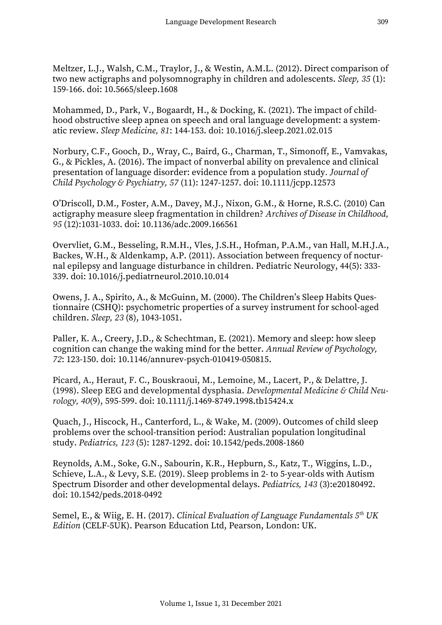Meltzer, L.J., Walsh, C.M., Traylor, J., & Westin, A.M.L. (2012). Direct comparison of two new actigraphs and polysomnography in children and adolescents. *Sleep, 35* (1): 159-166. doi: 10.5665/sleep.1608

Mohammed, D., Park, V., Bogaardt, H., & Docking, K. (2021). The impact of childhood obstructive sleep apnea on speech and oral language development: a systematic review. *Sleep Medicine, 81*: 144-153. doi: 10.1016/j.sleep.2021.02.015

Norbury, C.F., Gooch, D., Wray, C., Baird, G., Charman, T., Simonoff, E., Vamvakas, G., & Pickles, A. (2016). The impact of nonverbal ability on prevalence and clinical presentation of language disorder: evidence from a population study*. Journal of Child Psychology & Psychiatry, 57* (11): 1247-1257. doi: 10.1111/jcpp.12573

O'Driscoll, D.M., Foster, A.M., Davey, M.J., Nixon, G.M., & Horne, R.S.C. (2010) Can actigraphy measure sleep fragmentation in children? *Archives of Disease in Childhood, 95* (12):1031-1033. doi: 10.1136/adc.2009.166561

Overvliet, G.M., Besseling, R.M.H., Vles, J.S.H., Hofman, P.A.M., van Hall, M.H.J.A., Backes, W.H., & Aldenkamp, A.P. (2011). Association between frequency of nocturnal epilepsy and language disturbance in children. Pediatric Neurology, 44(5): 333- 339. doi: 10.1016/j.pediatrneurol.2010.10.014

Owens, J. A., Spirito, A., & McGuinn, M. (2000). The Children's Sleep Habits Questionnaire (CSHQ): psychometric properties of a survey instrument for school-aged children. *Sleep, 23* (8), 1043-1051.

Paller, K. A., Creery, J.D., & Schechtman, E. (2021). Memory and sleep: how sleep cognition can change the waking mind for the better. *Annual Review of Psychology, 72*: 123-150. doi: 10.1146/annurev-psych-010419-050815.

Picard, A., Heraut, F. C., Bouskraoui, M., Lemoine, M., Lacert, P., & Delattre, J. (1998). Sleep EEG and developmental dysphasia. *Developmental Medicine & Child Neurology, 40*(9), 595-599. doi: 10.1111/j.1469-8749.1998.tb15424.x

Quach, J., Hiscock, H., Canterford, L., & Wake, M. (2009). Outcomes of child sleep problems over the school-transition period: Australian population longitudinal study. *Pediatrics, 123* (5): 1287-1292. doi: 10.1542/peds.2008-1860

Reynolds, A.M., Soke, G.N., Sabourin, K.R., Hepburn, S., Katz, T., Wiggins, L.D., Schieve, L.A., & Levy, S.E. (2019). Sleep problems in 2- to 5-year-olds with Autism Spectrum Disorder and other developmental delays. *Pediatrics, 143* (3):e20180492. doi: 10.1542/peds.2018-0492

Semel, E., & Wiig, E. H. (2017). *Clinical Evaluation of Language Fundamentals 5th UK Edition* (CELF-5UK). Pearson Education Ltd, Pearson, London: UK.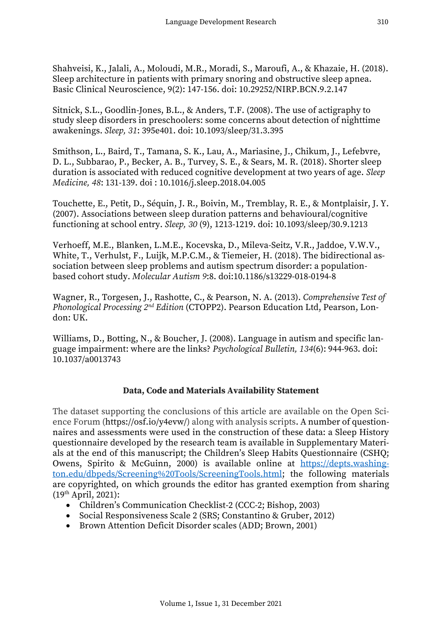Shahveisi, K., Jalali, A., Moloudi, M.R., Moradi, S., Maroufi, A., & Khazaie, H. (2018). Sleep architecture in patients with primary snoring and obstructive sleep apnea. Basic Clinical Neuroscience, 9(2): 147-156. doi: 10.29252/NIRP.BCN.9.2.147

Sitnick, S.L., Goodlin-Jones, B.L., & Anders, T.F. (2008). The use of actigraphy to study sleep disorders in preschoolers: some concerns about detection of nighttime awakenings. *Sleep, 31*: 395e401. doi: 10.1093/sleep/31.3.395

Smithson, L., Baird, T., Tamana, S. K., Lau, A., Mariasine, J., Chikum, J., Lefebvre, D. L., Subbarao, P., Becker, A. B., Turvey, S. E., & Sears, M. R. (2018). Shorter sleep duration is associated with reduced cognitive development at two years of age. *Sleep Medicine, 48*: 131-139. doi : 10.1016/j.sleep.2018.04.005

Touchette, E., Petit, D., Séquin, J. R., Boivin, M., Tremblay, R. E., & Montplaisir, J. Y. (2007). Associations between sleep duration patterns and behavioural/cognitive functioning at school entry. *Sleep, 30* (9), 1213-1219. doi: 10.1093/sleep/30.9.1213

Verhoeff, M.E., Blanken, L.M.E., Kocevska, D., Mileva-Seitz, V.R., Jaddoe, V.W.V., White, T., Verhulst, F., Luijk, M.P.C.M., & Tiemeier, H. (2018). The bidirectional association between sleep problems and autism spectrum disorder: a populationbased cohort study. *Molecular Autism 9*:8. doi:10.1186/s13229-018-0194-8

Wagner, R., Torgesen, J., Rashotte, C., & Pearson, N. A. (2013). *Comprehensive Test of Phonological Processing 2nd Edition* (CTOPP2). Pearson Education Ltd, Pearson, London: UK.

Williams, D., Botting, N., & Boucher, J. (2008). Language in autism and specific language impairment: where are the links? *Psychological Bulletin, 134*(6): 944-963. doi: 10.1037/a0013743

## **Data, Code and Materials Availability Statement**

The dataset supporting the conclusions of this article are available on the Open Science Forum (https://osf.io/y4evw/) along with analysis scripts. A number of questionnaires and assessments were used in the construction of these data: a Sleep History questionnaire developed by the research team is available in Supplementary Materials at the end of this manuscript; the Children's Sleep Habits Questionnaire (CSHQ; Owens, Spirito & McGuinn, 2000) is available online at [https://depts.washing](https://depts.washington.edu/dbpeds/Screening%20Tools/ScreeningTools.html)[ton.edu/dbpeds/Screening%20Tools/ScreeningTools.html;](https://depts.washington.edu/dbpeds/Screening%20Tools/ScreeningTools.html) the following materials are copyrighted, on which grounds the editor has granted exemption from sharing (19th April, 2021):

- Children's Communication Checklist-2 (CCC-2; Bishop, 2003)
- Social Responsiveness Scale 2 (SRS; Constantino & Gruber, 2012)
- Brown Attention Deficit Disorder scales (ADD; Brown, 2001)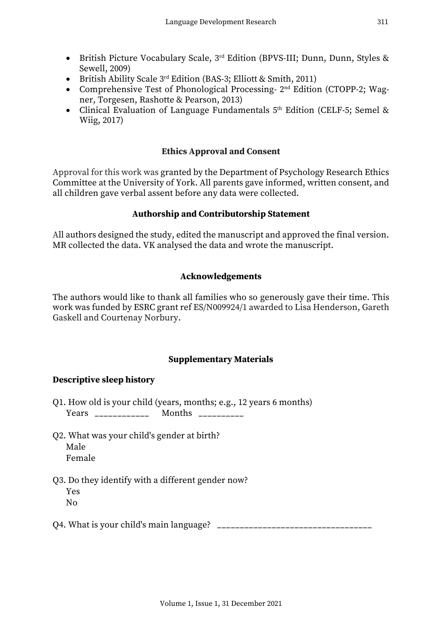- British Picture Vocabulary Scale, 3rd Edition (BPVS-III; Dunn, Dunn, Styles & Sewell, 2009)
- British Ability Scale 3<sup>rd</sup> Edition (BAS-3; Elliott & Smith, 2011)
- Comprehensive Test of Phonological Processing- 2<sup>nd</sup> Edition (CTOPP-2; Wagner, Torgesen, Rashotte & Pearson, 2013)
- Clinical Evaluation of Language Fundamentals 5<sup>th</sup> Edition (CELF-5; Semel & Wiig, 2017)

## **Ethics Approval and Consent**

Approval for this work was granted by the Department of Psychology Research Ethics Committee at the University of York. All parents gave informed, written consent, and all children gave verbal assent before any data were collected.

## **Authorship and Contributorship Statement**

All authors designed the study, edited the manuscript and approved the final version. MR collected the data. VK analysed the data and wrote the manuscript.

## **Acknowledgements**

The authors would like to thank all families who so generously gave their time. This work was funded by ESRC grant ref ES/N009924/1 awarded to Lisa Henderson, Gareth Gaskell and Courtenay Norbury.

## **Supplementary Materials**

## **Descriptive sleep history**

- Q1. How old is your child (years, months; e.g., 12 years 6 months) Years \_\_\_\_\_\_\_\_\_\_\_\_\_ Months \_\_\_\_\_\_\_\_\_
- Q2. What was your child's gender at birth? Male Female
- Q3. Do they identify with a different gender now? Yes  $N<sub>0</sub>$
- Q4. What is your child's main language?  $\Box$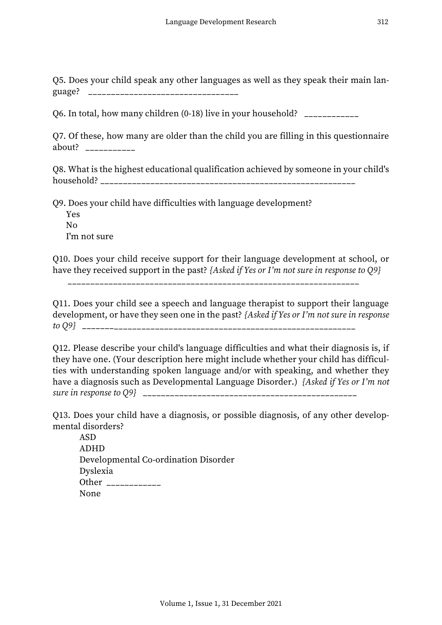Q5. Does your child speak any other languages as well as they speak their main language? \_\_\_\_\_\_\_\_\_\_\_\_\_\_\_\_\_\_\_\_\_\_\_\_\_\_\_\_\_\_\_\_\_

Q6. In total, how many children (0-18) live in your household? \_\_\_\_\_\_\_\_\_\_\_\_

Q7. Of these, how many are older than the child you are filling in this questionnaire about? \_\_\_\_\_\_\_\_\_\_\_

Q8. What is the highest educational qualification achieved by someone in your child's household? \_\_\_\_\_\_\_\_\_\_\_\_\_\_\_\_\_\_\_\_\_\_\_\_\_\_\_\_\_\_\_\_\_\_\_\_\_\_\_\_\_\_\_\_\_\_\_\_\_\_\_\_\_\_\_\_

Q9. Does your child have difficulties with language development?

Yes No I'm not sure

Q10. Does your child receive support for their language development at school, or have they received support in the past? *{Asked if Yes or I'm not sure in response to Q9}*

Q11. Does your child see a speech and language therapist to support their language development, or have they seen one in the past? *{Asked if Yes or I'm not sure in response to Q9}* \_\_\_\_\_\_\_\_\_\_\_\_\_\_\_\_\_\_\_\_\_\_\_\_\_\_\_\_\_\_\_\_\_\_\_\_\_\_\_\_\_\_\_\_\_\_\_\_\_\_\_\_\_\_\_\_\_\_\_\_

Q12. Please describe your child's language difficulties and what their diagnosis is, if they have one. (Your description here might include whether your child has difficulties with understanding spoken language and/or with speaking, and whether they have a diagnosis such as Developmental Language Disorder.) *{Asked if Yes or I'm not sure in response to Q9}* \_\_\_\_\_\_\_\_\_\_\_\_\_\_\_\_\_\_\_\_\_\_\_\_\_\_\_\_\_\_\_\_\_\_\_\_\_\_\_\_\_\_\_\_\_\_\_

Q13. Does your child have a diagnosis, or possible diagnosis, of any other developmental disorders?

ASD ADHD Developmental Co-ordination Disorder Dyslexia Other \_\_\_\_\_\_\_\_\_\_\_\_\_\_ None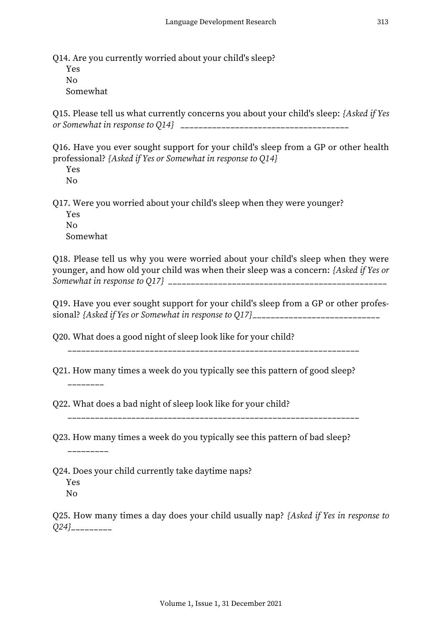Q14. Are you currently worried about your child's sleep?

Yes  $N<sub>0</sub>$ Somewhat

Q15. Please tell us what currently concerns you about your child's sleep: *{Asked if Yes or Somewhat in response to Q14}* \_\_\_\_\_\_\_\_\_\_\_\_\_\_\_\_\_\_\_\_\_\_\_\_\_\_\_\_\_\_\_\_\_\_\_\_\_

Q16. Have you ever sought support for your child's sleep from a GP or other health professional? *{Asked if Yes or Somewhat in response to Q14}*

Yes No

Q17. Were you worried about your child's sleep when they were younger?

Yes No Somewhat

Q18. Please tell us why you were worried about your child's sleep when they were younger, and how old your child was when their sleep was a concern: *{Asked if Yes or Somewhat in response to Q17} \_\_\_\_\_\_\_\_\_\_\_\_\_*\_\_\_\_\_\_\_\_\_\_\_\_\_\_\_\_\_\_\_\_\_\_\_\_\_\_\_\_\_\_\_\_\_\_\_

Q19. Have you ever sought support for your child's sleep from a GP or other professional? *{Asked if Yes or Somewhat in response to Q17}*\_\_\_\_\_\_\_\_\_\_\_\_\_\_\_\_\_\_\_\_\_\_\_\_\_\_\_\_

\_\_\_\_\_\_\_\_\_\_\_\_\_\_\_\_\_\_\_\_\_\_\_\_\_\_\_\_\_\_\_\_\_\_\_\_\_\_\_\_\_\_\_\_\_\_\_\_\_\_\_\_\_\_\_\_\_\_\_\_\_\_\_\_

Q20. What does a good night of sleep look like for your child?

Q21. How many times a week do you typically see this pattern of good sleep?

Q22. What does a bad night of sleep look like for your child?

\_\_\_\_\_\_\_\_\_\_\_\_\_\_\_\_\_\_\_\_\_\_\_\_\_\_\_\_\_\_\_\_\_\_\_\_\_\_\_\_\_\_\_\_\_\_\_\_\_\_\_\_\_\_\_\_\_\_\_\_\_\_\_\_

Q23. How many times a week do you typically see this pattern of bad sleep?

 $\frac{1}{2}$  and  $\frac{1}{2}$  and  $\frac{1}{2}$  and  $\frac{1}{2}$ 

\_\_\_\_\_\_\_\_

Q24. Does your child currently take daytime naps?

Yes No

Q25. How many times a day does your child usually nap? *{Asked if Yes in response to Q24}*\_\_\_\_\_\_\_\_\_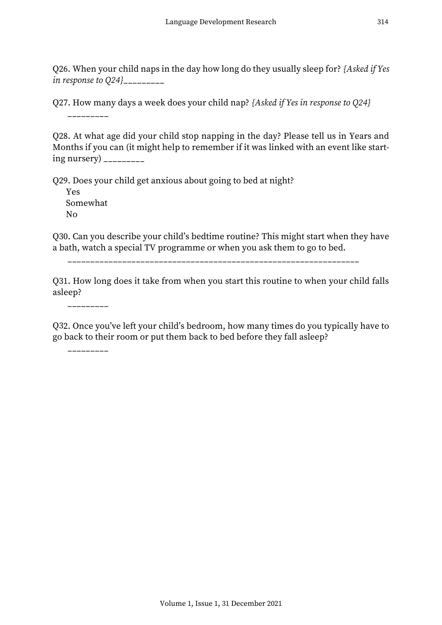Q26. When your child naps in the day how long do they usually sleep for? *{Asked if Yes in response to Q24}*\_\_\_\_\_\_\_\_\_

Q27. How many days a week does your child nap? *{Asked if Yes in response to Q24}*

\_\_\_\_\_\_\_\_\_

Q28. At what age did your child stop napping in the day? Please tell us in Years and Months if you can (it might help to remember if it was linked with an event like start $ing$  nursery)  $\frac{1}{2}$ 

Q29. Does your child get anxious about going to bed at night? Yes Somewhat No

Q30. Can you describe your child's bedtime routine? This might start when they have a bath, watch a special TV programme or when you ask them to go to bed.

\_\_\_\_\_\_\_\_\_\_\_\_\_\_\_\_\_\_\_\_\_\_\_\_\_\_\_\_\_\_\_\_\_\_\_\_\_\_\_\_\_\_\_\_\_\_\_\_\_\_\_\_\_\_\_\_\_\_\_\_\_\_\_\_

Q31. How long does it take from when you start this routine to when your child falls asleep?

\_\_\_\_\_\_\_\_\_

Q32. Once you've left your child's bedroom, how many times do you typically have to go back to their room or put them back to bed before they fall asleep?

\_\_\_\_\_\_\_\_\_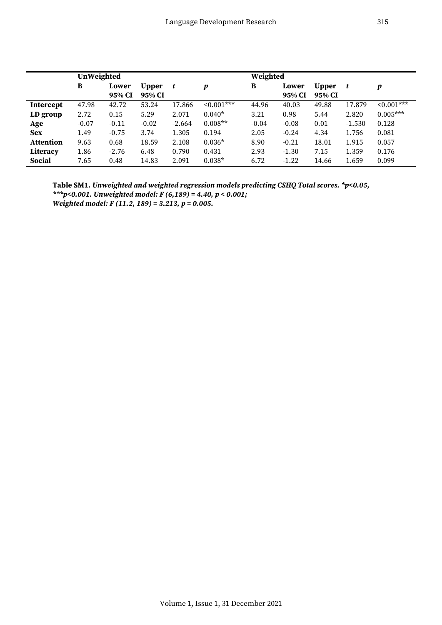|                  | UnWeighted |                 |                 |          |            | Weighted |                 |                        |          |            |
|------------------|------------|-----------------|-----------------|----------|------------|----------|-----------------|------------------------|----------|------------|
|                  | В          | Lower<br>95% CI | Upper<br>95% CI | t        | p          | B        | Lower<br>95% CI | <b>Upper</b><br>95% CI | t        | p          |
| <b>Intercept</b> | 47.98      | 42.72           | 53.24           | 17.866   | $0.001***$ | 44.96    | 40.03           | 49.88                  | 17.879   | $0.001***$ |
| LD group         | 2.72       | 0.15            | 5.29            | 2.071    | $0.040*$   | 3.21     | 0.98            | 5.44                   | 2.820    | $0.005***$ |
| Age              | $-0.07$    | $-0.11$         | $-0.02$         | $-2.664$ | $0.008**$  | $-0.04$  | $-0.08$         | 0.01                   | $-1.530$ | 0.128      |
| <b>Sex</b>       | 1.49       | $-0.75$         | 3.74            | 1.305    | 0.194      | 2.05     | $-0.24$         | 4.34                   | 1.756    | 0.081      |
| <b>Attention</b> | 9.63       | 0.68            | 18.59           | 2.108    | $0.036*$   | 8.90     | $-0.21$         | 18.01                  | 1.915    | 0.057      |
| Literacy         | 1.86       | $-2.76$         | 6.48            | 0.790    | 0.431      | 2.93     | $-1.30$         | 7.15                   | 1.359    | 0.176      |
| <b>Social</b>    | 7.65       | 0.48            | 14.83           | 2.091    | $0.038*$   | 6.72     | $-1.22$         | 14.66                  | 1.659    | 0.099      |

**Table SM1.** *Unweighted and weighted regression models predicting CSHQ Total scores. \*p<0.05, \*\*\*p<0.001. Unweighted model: F (6,189) = 4.40, p < 0.001; Weighted model: F (11.2, 189) = 3.213, p = 0.005.*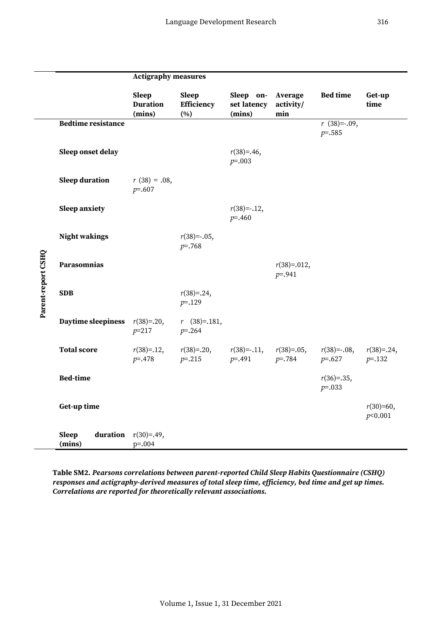|                    |                                    | <b>Actigraphy measures</b>                |                                          |                                    |                              |                                 |                             |  |  |
|--------------------|------------------------------------|-------------------------------------------|------------------------------------------|------------------------------------|------------------------------|---------------------------------|-----------------------------|--|--|
|                    |                                    | <b>Sleep</b><br><b>Duration</b><br>(mins) | <b>Sleep</b><br><b>Efficiency</b><br>(%) | Sleep on-<br>set latency<br>(mins) | Average<br>activity/<br>min  | <b>Bed time</b>                 | Get-up<br>time              |  |  |
|                    | <b>Bedtime resistance</b>          |                                           |                                          |                                    |                              | $r(38) = -0.09$ ,<br>$p = .585$ |                             |  |  |
|                    | Sleep onset delay                  |                                           |                                          | $r(38)=.46,$<br>$p = .003$         |                              |                                 |                             |  |  |
|                    | <b>Sleep duration</b>              | $r(38) = .08$ ,<br>$p = .607$             |                                          |                                    |                              |                                 |                             |  |  |
|                    | <b>Sleep anxiety</b>               |                                           |                                          | $r(38) = -.12,$<br>$p = 0.460$     |                              |                                 |                             |  |  |
|                    | <b>Night wakings</b>               |                                           | $r(38) = -.05,$<br>$p = 0.768$           |                                    |                              |                                 |                             |  |  |
|                    | Parasomnias                        |                                           |                                          |                                    | $r(38)=0.012,$<br>$p = .941$ |                                 |                             |  |  |
| Parent-report CSHQ | <b>SDB</b>                         |                                           | $r(38)=0.24,$<br>$p = 129$               |                                    |                              |                                 |                             |  |  |
|                    | <b>Daytime sleepiness</b>          | $r(38)=.20,$<br>$p=217$                   | $r$ (38)=.181,<br>$p = 0.264$            |                                    |                              |                                 |                             |  |  |
|                    | <b>Total score</b>                 | $r(38)=.12,$<br>$p = -478$                | $r(38)=0.20$ ,<br>$p = 0.215$            | $r(38) = -0.11$ ,<br>$p = .491$    | $r(38)=0.05,$<br>$p = .784$  | $r(38) = -.08,$<br>$p = .627$   | $r(38)=0.24$ ,<br>$p = 132$ |  |  |
|                    | <b>Bed-time</b>                    |                                           |                                          |                                    |                              | $r(36)=.35,$<br>$p = 0.033$     |                             |  |  |
|                    | Get-up time                        |                                           |                                          |                                    |                              |                                 | $r(30)=60,$<br>p<0.001      |  |  |
|                    | <b>Sleep</b><br>duration<br>(mins) | $r(30)=.49,$<br>$p = .004$                |                                          |                                    |                              |                                 |                             |  |  |

**Table SM2.** *Pearsons correlations between parent-reported Child Sleep Habits Questionnaire (CSHQ) responses and actigraphy-derived measures of total sleep time, efficiency, bed time and get up times. Correlations are reported for theoretically relevant associations.*